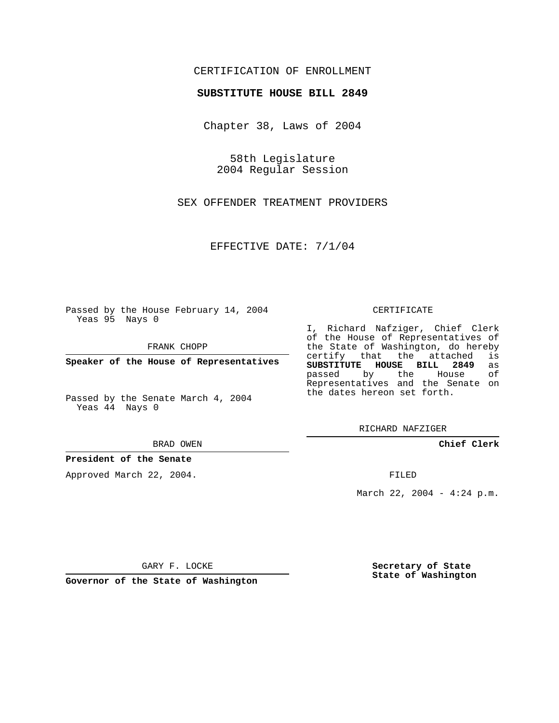## CERTIFICATION OF ENROLLMENT

#### **SUBSTITUTE HOUSE BILL 2849**

Chapter 38, Laws of 2004

58th Legislature 2004 Regular Session

SEX OFFENDER TREATMENT PROVIDERS

EFFECTIVE DATE: 7/1/04

Passed by the House February 14, 2004 Yeas 95 Nays 0

FRANK CHOPP

**Speaker of the House of Representatives**

Passed by the Senate March 4, 2004 Yeas 44 Nays 0

#### BRAD OWEN

## **President of the Senate**

Approved March 22, 2004.

#### CERTIFICATE

I, Richard Nafziger, Chief Clerk of the House of Representatives of the State of Washington, do hereby<br>certify that the attached is certify that the attached **SUBSTITUTE HOUSE BILL 2849** as passed by the House Representatives and the Senate on the dates hereon set forth.

RICHARD NAFZIGER

**Chief Clerk**

FILED

March 22, 2004 - 4:24 p.m.

GARY F. LOCKE

**Governor of the State of Washington**

**Secretary of State State of Washington**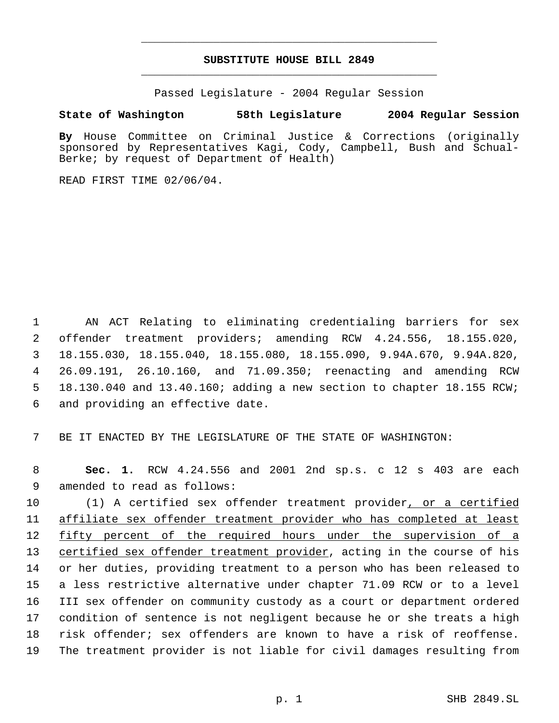# **SUBSTITUTE HOUSE BILL 2849** \_\_\_\_\_\_\_\_\_\_\_\_\_\_\_\_\_\_\_\_\_\_\_\_\_\_\_\_\_\_\_\_\_\_\_\_\_\_\_\_\_\_\_\_\_

\_\_\_\_\_\_\_\_\_\_\_\_\_\_\_\_\_\_\_\_\_\_\_\_\_\_\_\_\_\_\_\_\_\_\_\_\_\_\_\_\_\_\_\_\_

Passed Legislature - 2004 Regular Session

## **State of Washington 58th Legislature 2004 Regular Session**

**By** House Committee on Criminal Justice & Corrections (originally sponsored by Representatives Kagi, Cody, Campbell, Bush and Schual-Berke; by request of Department of Health)

READ FIRST TIME 02/06/04.

 AN ACT Relating to eliminating credentialing barriers for sex offender treatment providers; amending RCW 4.24.556, 18.155.020, 18.155.030, 18.155.040, 18.155.080, 18.155.090, 9.94A.670, 9.94A.820, 26.09.191, 26.10.160, and 71.09.350; reenacting and amending RCW 18.130.040 and 13.40.160; adding a new section to chapter 18.155 RCW; and providing an effective date.

7 BE IT ENACTED BY THE LEGISLATURE OF THE STATE OF WASHINGTON:

 8 **Sec. 1.** RCW 4.24.556 and 2001 2nd sp.s. c 12 s 403 are each 9 amended to read as follows:

 (1) A certified sex offender treatment provider, or a certified affiliate sex offender treatment provider who has completed at least 12 fifty percent of the required hours under the supervision of a 13 certified sex offender treatment provider, acting in the course of his or her duties, providing treatment to a person who has been released to a less restrictive alternative under chapter 71.09 RCW or to a level III sex offender on community custody as a court or department ordered condition of sentence is not negligent because he or she treats a high risk offender; sex offenders are known to have a risk of reoffense. The treatment provider is not liable for civil damages resulting from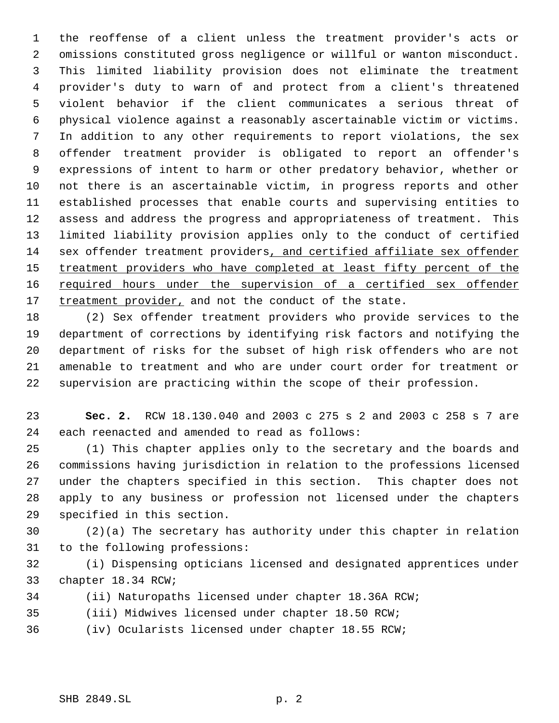the reoffense of a client unless the treatment provider's acts or omissions constituted gross negligence or willful or wanton misconduct. This limited liability provision does not eliminate the treatment provider's duty to warn of and protect from a client's threatened violent behavior if the client communicates a serious threat of physical violence against a reasonably ascertainable victim or victims. In addition to any other requirements to report violations, the sex offender treatment provider is obligated to report an offender's expressions of intent to harm or other predatory behavior, whether or not there is an ascertainable victim, in progress reports and other established processes that enable courts and supervising entities to assess and address the progress and appropriateness of treatment. This limited liability provision applies only to the conduct of certified sex offender treatment providers, and certified affiliate sex offender 15 treatment providers who have completed at least fifty percent of the 16 required hours under the supervision of a certified sex offender 17 treatment provider, and not the conduct of the state.

 (2) Sex offender treatment providers who provide services to the department of corrections by identifying risk factors and notifying the department of risks for the subset of high risk offenders who are not amenable to treatment and who are under court order for treatment or supervision are practicing within the scope of their profession.

 **Sec. 2.** RCW 18.130.040 and 2003 c 275 s 2 and 2003 c 258 s 7 are each reenacted and amended to read as follows:

 (1) This chapter applies only to the secretary and the boards and commissions having jurisdiction in relation to the professions licensed under the chapters specified in this section. This chapter does not apply to any business or profession not licensed under the chapters specified in this section.

 (2)(a) The secretary has authority under this chapter in relation to the following professions:

 (i) Dispensing opticians licensed and designated apprentices under chapter 18.34 RCW;

- (ii) Naturopaths licensed under chapter 18.36A RCW;
- (iii) Midwives licensed under chapter 18.50 RCW;

(iv) Ocularists licensed under chapter 18.55 RCW;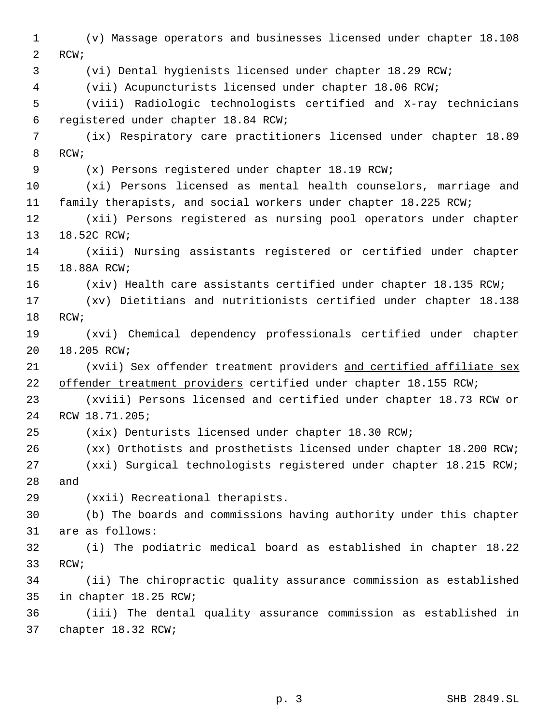(v) Massage operators and businesses licensed under chapter 18.108 RCW; (vi) Dental hygienists licensed under chapter 18.29 RCW; (vii) Acupuncturists licensed under chapter 18.06 RCW; (viii) Radiologic technologists certified and X-ray technicians registered under chapter 18.84 RCW; (ix) Respiratory care practitioners licensed under chapter 18.89 RCW; (x) Persons registered under chapter 18.19 RCW; (xi) Persons licensed as mental health counselors, marriage and family therapists, and social workers under chapter 18.225 RCW; (xii) Persons registered as nursing pool operators under chapter 18.52C RCW; (xiii) Nursing assistants registered or certified under chapter 18.88A RCW; (xiv) Health care assistants certified under chapter 18.135 RCW; (xv) Dietitians and nutritionists certified under chapter 18.138 RCW; (xvi) Chemical dependency professionals certified under chapter 18.205 RCW; (xvii) Sex offender treatment providers and certified affiliate sex 22 offender treatment providers certified under chapter 18.155 RCW; (xviii) Persons licensed and certified under chapter 18.73 RCW or RCW 18.71.205; (xix) Denturists licensed under chapter 18.30 RCW; (xx) Orthotists and prosthetists licensed under chapter 18.200 RCW; (xxi) Surgical technologists registered under chapter 18.215 RCW; and (xxii) Recreational therapists. (b) The boards and commissions having authority under this chapter are as follows: (i) The podiatric medical board as established in chapter 18.22 RCW; (ii) The chiropractic quality assurance commission as established in chapter 18.25 RCW; (iii) The dental quality assurance commission as established in chapter 18.32 RCW;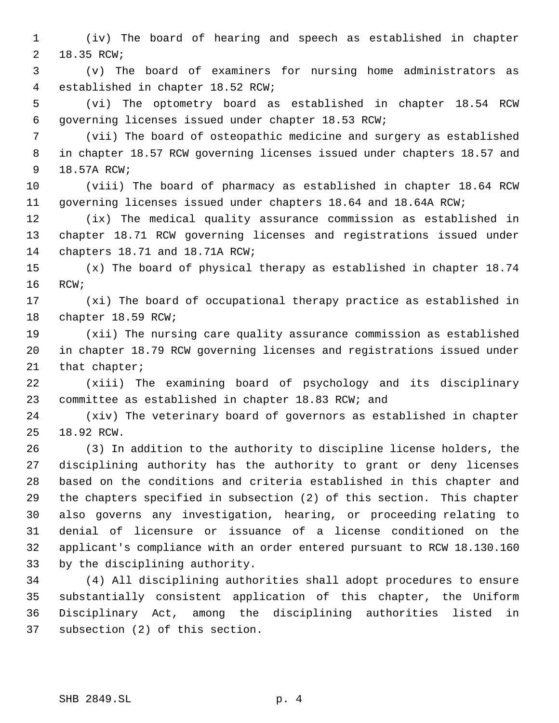(iv) The board of hearing and speech as established in chapter 18.35 RCW;

 (v) The board of examiners for nursing home administrators as established in chapter 18.52 RCW;

 (vi) The optometry board as established in chapter 18.54 RCW governing licenses issued under chapter 18.53 RCW;

 (vii) The board of osteopathic medicine and surgery as established in chapter 18.57 RCW governing licenses issued under chapters 18.57 and 18.57A RCW;

 (viii) The board of pharmacy as established in chapter 18.64 RCW governing licenses issued under chapters 18.64 and 18.64A RCW;

 (ix) The medical quality assurance commission as established in chapter 18.71 RCW governing licenses and registrations issued under chapters 18.71 and 18.71A RCW;

 (x) The board of physical therapy as established in chapter 18.74 RCW;

 (xi) The board of occupational therapy practice as established in chapter 18.59 RCW;

 (xii) The nursing care quality assurance commission as established in chapter 18.79 RCW governing licenses and registrations issued under 21 that chapter;

 (xiii) The examining board of psychology and its disciplinary committee as established in chapter 18.83 RCW; and

 (xiv) The veterinary board of governors as established in chapter 18.92 RCW.

 (3) In addition to the authority to discipline license holders, the disciplining authority has the authority to grant or deny licenses based on the conditions and criteria established in this chapter and the chapters specified in subsection (2) of this section. This chapter also governs any investigation, hearing, or proceeding relating to denial of licensure or issuance of a license conditioned on the applicant's compliance with an order entered pursuant to RCW 18.130.160 by the disciplining authority.

 (4) All disciplining authorities shall adopt procedures to ensure substantially consistent application of this chapter, the Uniform Disciplinary Act, among the disciplining authorities listed in subsection (2) of this section.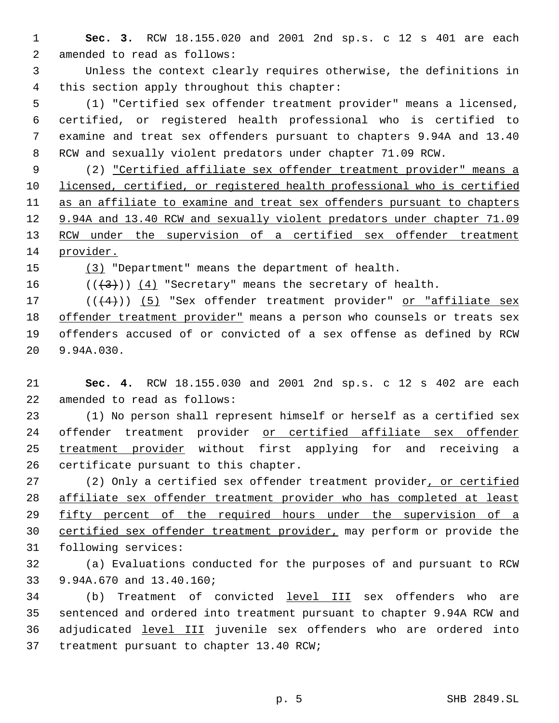**Sec. 3.** RCW 18.155.020 and 2001 2nd sp.s. c 12 s 401 are each amended to read as follows:

 Unless the context clearly requires otherwise, the definitions in this section apply throughout this chapter:

 (1) "Certified sex offender treatment provider" means a licensed, certified, or registered health professional who is certified to examine and treat sex offenders pursuant to chapters 9.94A and 13.40 RCW and sexually violent predators under chapter 71.09 RCW.

 (2) "Certified affiliate sex offender treatment provider" means a licensed, certified, or registered health professional who is certified as an affiliate to examine and treat sex offenders pursuant to chapters 12 9.94A and 13.40 RCW and sexually violent predators under chapter 71.09 13 RCW under the supervision of a certified sex offender treatment provider.

(3) "Department" means the department of health.

16  $((+3))$   $(4)$  "Secretary" means the secretary of health.

 $((4+))$  (5) "Sex offender treatment provider" or "affiliate sex 18 offender treatment provider" means a person who counsels or treats sex offenders accused of or convicted of a sex offense as defined by RCW 9.94A.030.

 **Sec. 4.** RCW 18.155.030 and 2001 2nd sp.s. c 12 s 402 are each amended to read as follows:

 (1) No person shall represent himself or herself as a certified sex offender treatment provider or certified affiliate sex offender 25 treatment provider without first applying for and receiving a certificate pursuant to this chapter.

27 (2) Only a certified sex offender treatment provider, or certified affiliate sex offender treatment provider who has completed at least 29 fifty percent of the required hours under the supervision of a 30 certified sex offender treatment provider, may perform or provide the following services:

 (a) Evaluations conducted for the purposes of and pursuant to RCW 9.94A.670 and 13.40.160;

34 (b) Treatment of convicted level III sex offenders who are sentenced and ordered into treatment pursuant to chapter 9.94A RCW and 36 adjudicated level III juvenile sex offenders who are ordered into treatment pursuant to chapter 13.40 RCW;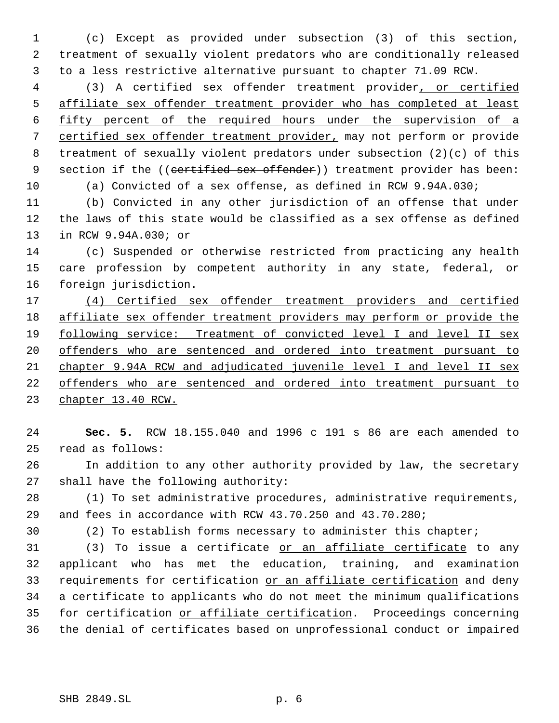(c) Except as provided under subsection (3) of this section, treatment of sexually violent predators who are conditionally released to a less restrictive alternative pursuant to chapter 71.09 RCW.

 (3) A certified sex offender treatment provider, or certified affiliate sex offender treatment provider who has completed at least fifty percent of the required hours under the supervision of a certified sex offender treatment provider, may not perform or provide treatment of sexually violent predators under subsection (2)(c) of this 9 section if the ((certified sex offender)) treatment provider has been: (a) Convicted of a sex offense, as defined in RCW 9.94A.030;

 (b) Convicted in any other jurisdiction of an offense that under the laws of this state would be classified as a sex offense as defined in RCW 9.94A.030; or

 (c) Suspended or otherwise restricted from practicing any health care profession by competent authority in any state, federal, or foreign jurisdiction.

 (4) Certified sex offender treatment providers and certified affiliate sex offender treatment providers may perform or provide the following service: Treatment of convicted level I and level II sex offenders who are sentenced and ordered into treatment pursuant to chapter 9.94A RCW and adjudicated juvenile level I and level II sex offenders who are sentenced and ordered into treatment pursuant to chapter 13.40 RCW.

 **Sec. 5.** RCW 18.155.040 and 1996 c 191 s 86 are each amended to read as follows:

 In addition to any other authority provided by law, the secretary shall have the following authority:

 (1) To set administrative procedures, administrative requirements, and fees in accordance with RCW 43.70.250 and 43.70.280;

(2) To establish forms necessary to administer this chapter;

31 (3) To issue a certificate or an affiliate certificate to any applicant who has met the education, training, and examination 33 requirements for certification or an affiliate certification and deny a certificate to applicants who do not meet the minimum qualifications for certification or affiliate certification. Proceedings concerning the denial of certificates based on unprofessional conduct or impaired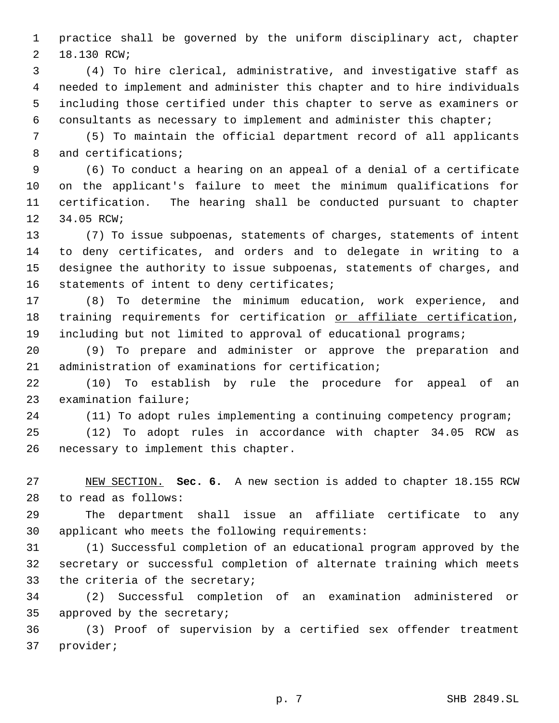practice shall be governed by the uniform disciplinary act, chapter 18.130 RCW;

 (4) To hire clerical, administrative, and investigative staff as needed to implement and administer this chapter and to hire individuals including those certified under this chapter to serve as examiners or consultants as necessary to implement and administer this chapter;

 (5) To maintain the official department record of all applicants and certifications;

 (6) To conduct a hearing on an appeal of a denial of a certificate on the applicant's failure to meet the minimum qualifications for certification. The hearing shall be conducted pursuant to chapter 34.05 RCW;

 (7) To issue subpoenas, statements of charges, statements of intent to deny certificates, and orders and to delegate in writing to a designee the authority to issue subpoenas, statements of charges, and statements of intent to deny certificates;

 (8) To determine the minimum education, work experience, and 18 training requirements for certification or affiliate certification, including but not limited to approval of educational programs;

 (9) To prepare and administer or approve the preparation and administration of examinations for certification;

 (10) To establish by rule the procedure for appeal of an examination failure;

(11) To adopt rules implementing a continuing competency program;

 (12) To adopt rules in accordance with chapter 34.05 RCW as necessary to implement this chapter.

 NEW SECTION. **Sec. 6.** A new section is added to chapter 18.155 RCW to read as follows:

 The department shall issue an affiliate certificate to any applicant who meets the following requirements:

 (1) Successful completion of an educational program approved by the secretary or successful completion of alternate training which meets the criteria of the secretary;

 (2) Successful completion of an examination administered or approved by the secretary;

 (3) Proof of supervision by a certified sex offender treatment provider;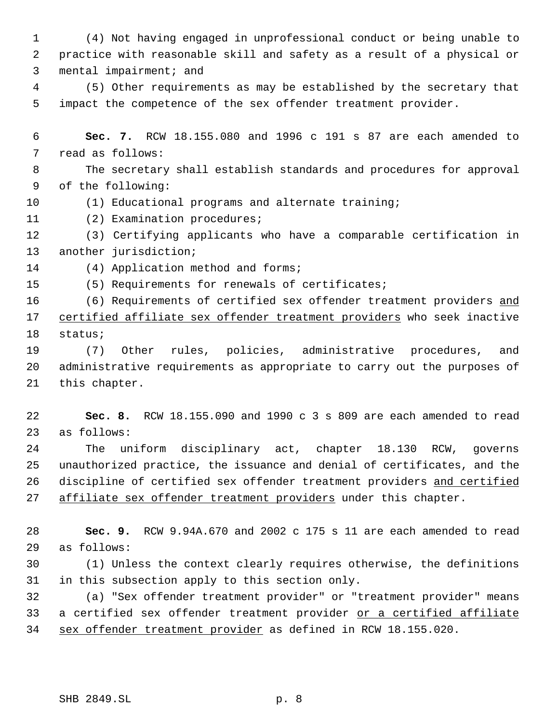(4) Not having engaged in unprofessional conduct or being unable to practice with reasonable skill and safety as a result of a physical or mental impairment; and

 (5) Other requirements as may be established by the secretary that impact the competence of the sex offender treatment provider.

 **Sec. 7.** RCW 18.155.080 and 1996 c 191 s 87 are each amended to read as follows:

 The secretary shall establish standards and procedures for approval of the following:

(1) Educational programs and alternate training;

(2) Examination procedures;

 (3) Certifying applicants who have a comparable certification in another jurisdiction;

14 (4) Application method and forms;

(5) Requirements for renewals of certificates;

16 (6) Requirements of certified sex offender treatment providers and 17 certified affiliate sex offender treatment providers who seek inactive status;

 (7) Other rules, policies, administrative procedures, and administrative requirements as appropriate to carry out the purposes of this chapter.

 **Sec. 8.** RCW 18.155.090 and 1990 c 3 s 809 are each amended to read as follows:

 The uniform disciplinary act, chapter 18.130 RCW, governs unauthorized practice, the issuance and denial of certificates, and the 26 discipline of certified sex offender treatment providers and certified 27 affiliate sex offender treatment providers under this chapter.

 **Sec. 9.** RCW 9.94A.670 and 2002 c 175 s 11 are each amended to read as follows:

 (1) Unless the context clearly requires otherwise, the definitions in this subsection apply to this section only.

 (a) "Sex offender treatment provider" or "treatment provider" means 33 a certified sex offender treatment provider or a certified affiliate sex offender treatment provider as defined in RCW 18.155.020.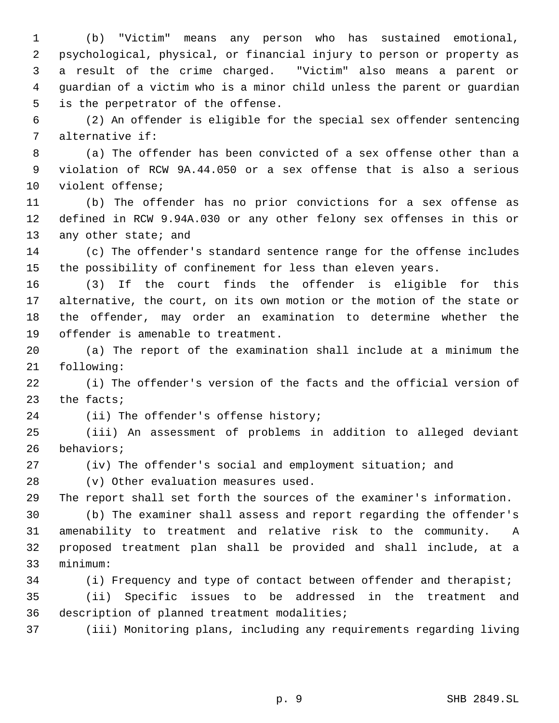(b) "Victim" means any person who has sustained emotional, psychological, physical, or financial injury to person or property as a result of the crime charged. "Victim" also means a parent or guardian of a victim who is a minor child unless the parent or guardian is the perpetrator of the offense.

 (2) An offender is eligible for the special sex offender sentencing alternative if:

 (a) The offender has been convicted of a sex offense other than a violation of RCW 9A.44.050 or a sex offense that is also a serious violent offense;

 (b) The offender has no prior convictions for a sex offense as defined in RCW 9.94A.030 or any other felony sex offenses in this or 13 any other state; and

 (c) The offender's standard sentence range for the offense includes the possibility of confinement for less than eleven years.

 (3) If the court finds the offender is eligible for this alternative, the court, on its own motion or the motion of the state or the offender, may order an examination to determine whether the offender is amenable to treatment.

 (a) The report of the examination shall include at a minimum the following:

 (i) The offender's version of the facts and the official version of the facts;

(ii) The offender's offense history;

 (iii) An assessment of problems in addition to alleged deviant behaviors;

(iv) The offender's social and employment situation; and

(v) Other evaluation measures used.

The report shall set forth the sources of the examiner's information.

 (b) The examiner shall assess and report regarding the offender's amenability to treatment and relative risk to the community. A proposed treatment plan shall be provided and shall include, at a minimum:

(i) Frequency and type of contact between offender and therapist;

 (ii) Specific issues to be addressed in the treatment and description of planned treatment modalities;

(iii) Monitoring plans, including any requirements regarding living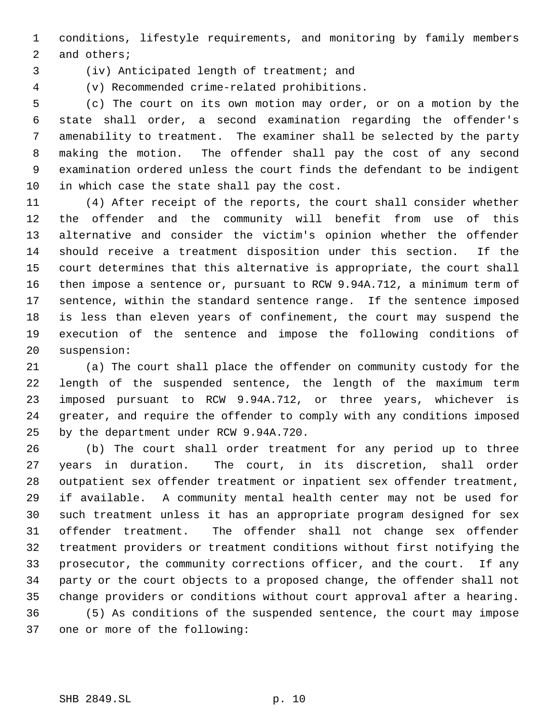conditions, lifestyle requirements, and monitoring by family members and others;

(iv) Anticipated length of treatment; and

(v) Recommended crime-related prohibitions.

 (c) The court on its own motion may order, or on a motion by the state shall order, a second examination regarding the offender's amenability to treatment. The examiner shall be selected by the party making the motion. The offender shall pay the cost of any second examination ordered unless the court finds the defendant to be indigent in which case the state shall pay the cost.

 (4) After receipt of the reports, the court shall consider whether the offender and the community will benefit from use of this alternative and consider the victim's opinion whether the offender should receive a treatment disposition under this section. If the court determines that this alternative is appropriate, the court shall then impose a sentence or, pursuant to RCW 9.94A.712, a minimum term of sentence, within the standard sentence range. If the sentence imposed is less than eleven years of confinement, the court may suspend the execution of the sentence and impose the following conditions of suspension:

 (a) The court shall place the offender on community custody for the length of the suspended sentence, the length of the maximum term imposed pursuant to RCW 9.94A.712, or three years, whichever is greater, and require the offender to comply with any conditions imposed by the department under RCW 9.94A.720.

 (b) The court shall order treatment for any period up to three years in duration. The court, in its discretion, shall order outpatient sex offender treatment or inpatient sex offender treatment, if available. A community mental health center may not be used for such treatment unless it has an appropriate program designed for sex offender treatment. The offender shall not change sex offender treatment providers or treatment conditions without first notifying the prosecutor, the community corrections officer, and the court. If any party or the court objects to a proposed change, the offender shall not change providers or conditions without court approval after a hearing. (5) As conditions of the suspended sentence, the court may impose one or more of the following: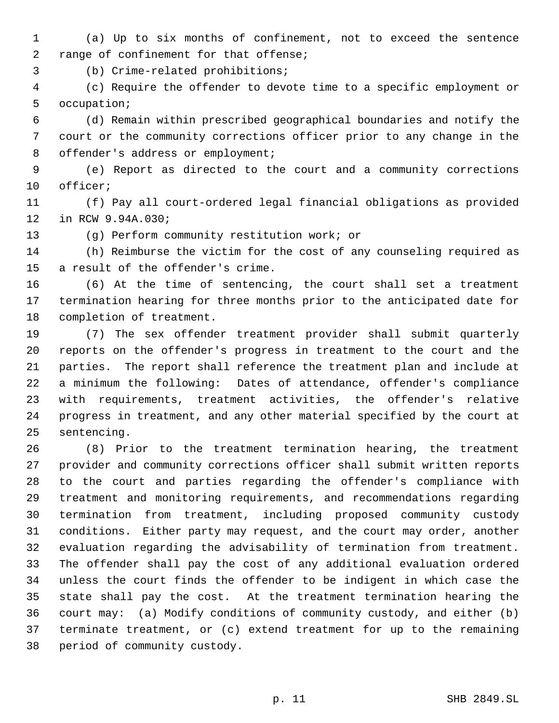(a) Up to six months of confinement, not to exceed the sentence range of confinement for that offense;

(b) Crime-related prohibitions;

 (c) Require the offender to devote time to a specific employment or occupation;

 (d) Remain within prescribed geographical boundaries and notify the court or the community corrections officer prior to any change in the 8 offender's address or employment;

 (e) Report as directed to the court and a community corrections officer;

 (f) Pay all court-ordered legal financial obligations as provided in RCW 9.94A.030;

(g) Perform community restitution work; or

 (h) Reimburse the victim for the cost of any counseling required as a result of the offender's crime.

 (6) At the time of sentencing, the court shall set a treatment termination hearing for three months prior to the anticipated date for completion of treatment.

 (7) The sex offender treatment provider shall submit quarterly reports on the offender's progress in treatment to the court and the parties. The report shall reference the treatment plan and include at a minimum the following: Dates of attendance, offender's compliance with requirements, treatment activities, the offender's relative progress in treatment, and any other material specified by the court at sentencing.

 (8) Prior to the treatment termination hearing, the treatment provider and community corrections officer shall submit written reports to the court and parties regarding the offender's compliance with treatment and monitoring requirements, and recommendations regarding termination from treatment, including proposed community custody conditions. Either party may request, and the court may order, another evaluation regarding the advisability of termination from treatment. The offender shall pay the cost of any additional evaluation ordered unless the court finds the offender to be indigent in which case the state shall pay the cost. At the treatment termination hearing the court may: (a) Modify conditions of community custody, and either (b) terminate treatment, or (c) extend treatment for up to the remaining period of community custody.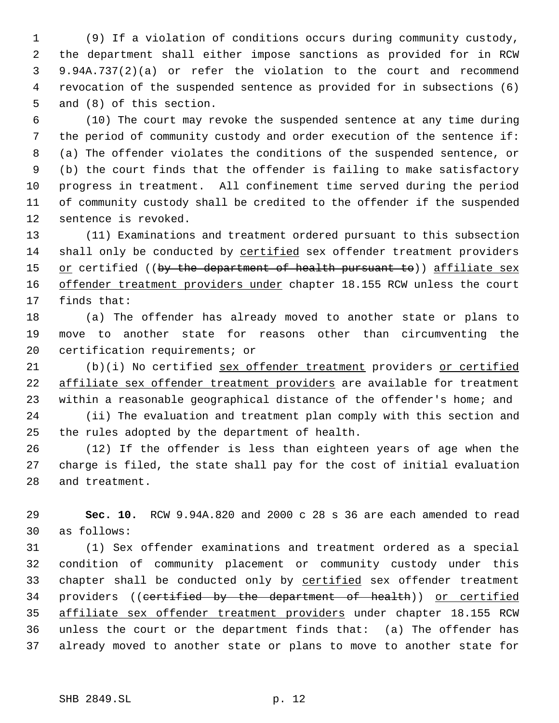(9) If a violation of conditions occurs during community custody, the department shall either impose sanctions as provided for in RCW 9.94A.737(2)(a) or refer the violation to the court and recommend revocation of the suspended sentence as provided for in subsections (6) and (8) of this section.

 (10) The court may revoke the suspended sentence at any time during the period of community custody and order execution of the sentence if: (a) The offender violates the conditions of the suspended sentence, or (b) the court finds that the offender is failing to make satisfactory progress in treatment. All confinement time served during the period of community custody shall be credited to the offender if the suspended sentence is revoked.

 (11) Examinations and treatment ordered pursuant to this subsection 14 shall only be conducted by certified sex offender treatment providers 15 or certified ((by the department of health pursuant to)) affiliate sex 16 offender treatment providers under chapter 18.155 RCW unless the court finds that:

 (a) The offender has already moved to another state or plans to move to another state for reasons other than circumventing the certification requirements; or

 (b)(i) No certified sex offender treatment providers or certified affiliate sex offender treatment providers are available for treatment 23 within a reasonable geographical distance of the offender's home; and

 (ii) The evaluation and treatment plan comply with this section and the rules adopted by the department of health.

 (12) If the offender is less than eighteen years of age when the charge is filed, the state shall pay for the cost of initial evaluation and treatment.

 **Sec. 10.** RCW 9.94A.820 and 2000 c 28 s 36 are each amended to read as follows:

 (1) Sex offender examinations and treatment ordered as a special condition of community placement or community custody under this 33 chapter shall be conducted only by certified sex offender treatment providers ((certified by the department of health)) or certified affiliate sex offender treatment providers under chapter 18.155 RCW unless the court or the department finds that: (a) The offender has already moved to another state or plans to move to another state for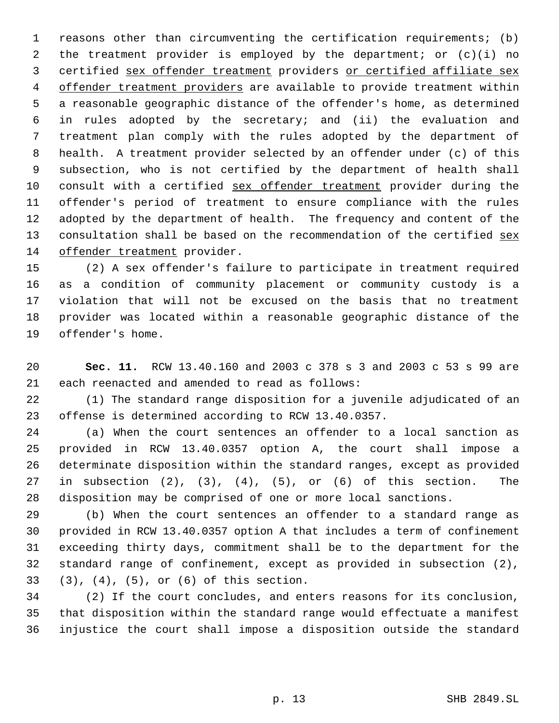reasons other than circumventing the certification requirements; (b) the treatment provider is employed by the department; or (c)(i) no certified sex offender treatment providers or certified affiliate sex 4 offender treatment providers are available to provide treatment within a reasonable geographic distance of the offender's home, as determined in rules adopted by the secretary; and (ii) the evaluation and treatment plan comply with the rules adopted by the department of health. A treatment provider selected by an offender under (c) of this subsection, who is not certified by the department of health shall 10 consult with a certified sex offender treatment provider during the offender's period of treatment to ensure compliance with the rules adopted by the department of health. The frequency and content of the 13 consultation shall be based on the recommendation of the certified sex offender treatment provider.

 (2) A sex offender's failure to participate in treatment required as a condition of community placement or community custody is a violation that will not be excused on the basis that no treatment provider was located within a reasonable geographic distance of the offender's home.

 **Sec. 11.** RCW 13.40.160 and 2003 c 378 s 3 and 2003 c 53 s 99 are each reenacted and amended to read as follows:

 (1) The standard range disposition for a juvenile adjudicated of an offense is determined according to RCW 13.40.0357.

 (a) When the court sentences an offender to a local sanction as provided in RCW 13.40.0357 option A, the court shall impose a determinate disposition within the standard ranges, except as provided in subsection (2), (3), (4), (5), or (6) of this section. The disposition may be comprised of one or more local sanctions.

 (b) When the court sentences an offender to a standard range as provided in RCW 13.40.0357 option A that includes a term of confinement exceeding thirty days, commitment shall be to the department for the standard range of confinement, except as provided in subsection (2), (3), (4), (5), or (6) of this section.

 (2) If the court concludes, and enters reasons for its conclusion, that disposition within the standard range would effectuate a manifest injustice the court shall impose a disposition outside the standard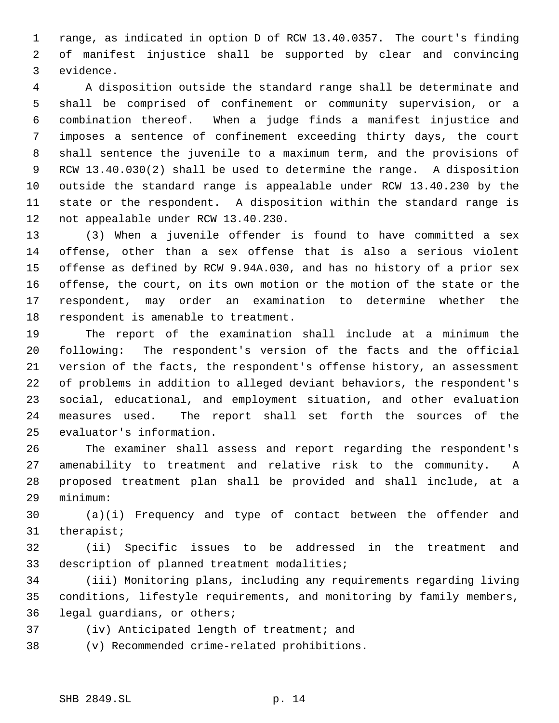range, as indicated in option D of RCW 13.40.0357. The court's finding of manifest injustice shall be supported by clear and convincing evidence.

 A disposition outside the standard range shall be determinate and shall be comprised of confinement or community supervision, or a combination thereof. When a judge finds a manifest injustice and imposes a sentence of confinement exceeding thirty days, the court shall sentence the juvenile to a maximum term, and the provisions of RCW 13.40.030(2) shall be used to determine the range. A disposition outside the standard range is appealable under RCW 13.40.230 by the state or the respondent. A disposition within the standard range is not appealable under RCW 13.40.230.

 (3) When a juvenile offender is found to have committed a sex offense, other than a sex offense that is also a serious violent offense as defined by RCW 9.94A.030, and has no history of a prior sex offense, the court, on its own motion or the motion of the state or the respondent, may order an examination to determine whether the respondent is amenable to treatment.

 The report of the examination shall include at a minimum the following: The respondent's version of the facts and the official version of the facts, the respondent's offense history, an assessment of problems in addition to alleged deviant behaviors, the respondent's social, educational, and employment situation, and other evaluation measures used. The report shall set forth the sources of the evaluator's information.

 The examiner shall assess and report regarding the respondent's amenability to treatment and relative risk to the community. A proposed treatment plan shall be provided and shall include, at a minimum:

 (a)(i) Frequency and type of contact between the offender and therapist;

 (ii) Specific issues to be addressed in the treatment and description of planned treatment modalities;

 (iii) Monitoring plans, including any requirements regarding living conditions, lifestyle requirements, and monitoring by family members, legal guardians, or others;

(iv) Anticipated length of treatment; and

(v) Recommended crime-related prohibitions.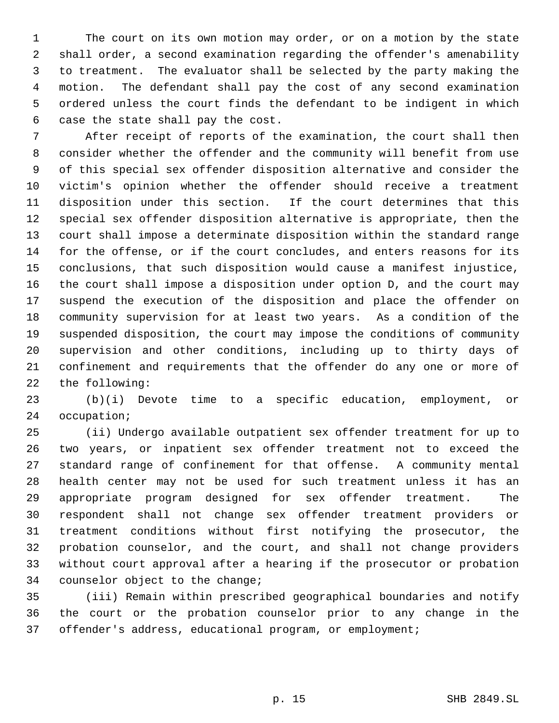The court on its own motion may order, or on a motion by the state shall order, a second examination regarding the offender's amenability to treatment. The evaluator shall be selected by the party making the motion. The defendant shall pay the cost of any second examination ordered unless the court finds the defendant to be indigent in which case the state shall pay the cost.

 After receipt of reports of the examination, the court shall then consider whether the offender and the community will benefit from use of this special sex offender disposition alternative and consider the victim's opinion whether the offender should receive a treatment disposition under this section. If the court determines that this special sex offender disposition alternative is appropriate, then the court shall impose a determinate disposition within the standard range for the offense, or if the court concludes, and enters reasons for its conclusions, that such disposition would cause a manifest injustice, the court shall impose a disposition under option D, and the court may suspend the execution of the disposition and place the offender on community supervision for at least two years. As a condition of the suspended disposition, the court may impose the conditions of community supervision and other conditions, including up to thirty days of confinement and requirements that the offender do any one or more of the following:

 (b)(i) Devote time to a specific education, employment, or occupation;

 (ii) Undergo available outpatient sex offender treatment for up to two years, or inpatient sex offender treatment not to exceed the standard range of confinement for that offense. A community mental health center may not be used for such treatment unless it has an appropriate program designed for sex offender treatment. The respondent shall not change sex offender treatment providers or treatment conditions without first notifying the prosecutor, the probation counselor, and the court, and shall not change providers without court approval after a hearing if the prosecutor or probation counselor object to the change;

 (iii) Remain within prescribed geographical boundaries and notify the court or the probation counselor prior to any change in the offender's address, educational program, or employment;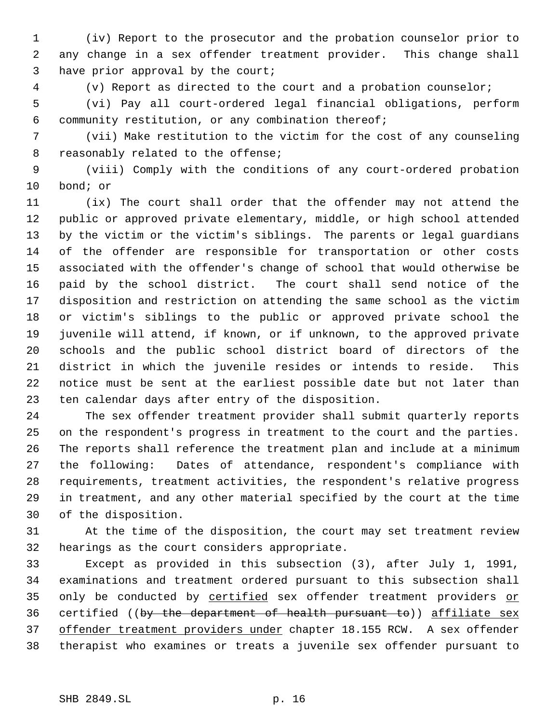(iv) Report to the prosecutor and the probation counselor prior to any change in a sex offender treatment provider. This change shall have prior approval by the court;

(v) Report as directed to the court and a probation counselor;

 (vi) Pay all court-ordered legal financial obligations, perform community restitution, or any combination thereof;

 (vii) Make restitution to the victim for the cost of any counseling reasonably related to the offense;

 (viii) Comply with the conditions of any court-ordered probation bond; or

 (ix) The court shall order that the offender may not attend the public or approved private elementary, middle, or high school attended by the victim or the victim's siblings. The parents or legal guardians of the offender are responsible for transportation or other costs associated with the offender's change of school that would otherwise be paid by the school district. The court shall send notice of the disposition and restriction on attending the same school as the victim or victim's siblings to the public or approved private school the juvenile will attend, if known, or if unknown, to the approved private schools and the public school district board of directors of the district in which the juvenile resides or intends to reside. This notice must be sent at the earliest possible date but not later than ten calendar days after entry of the disposition.

 The sex offender treatment provider shall submit quarterly reports on the respondent's progress in treatment to the court and the parties. The reports shall reference the treatment plan and include at a minimum the following: Dates of attendance, respondent's compliance with requirements, treatment activities, the respondent's relative progress in treatment, and any other material specified by the court at the time of the disposition.

 At the time of the disposition, the court may set treatment review hearings as the court considers appropriate.

 Except as provided in this subsection (3), after July 1, 1991, examinations and treatment ordered pursuant to this subsection shall 35 only be conducted by certified sex offender treatment providers or 36 certified ((by the department of health pursuant to)) affiliate sex 37 offender treatment providers under chapter 18.155 RCW. A sex offender therapist who examines or treats a juvenile sex offender pursuant to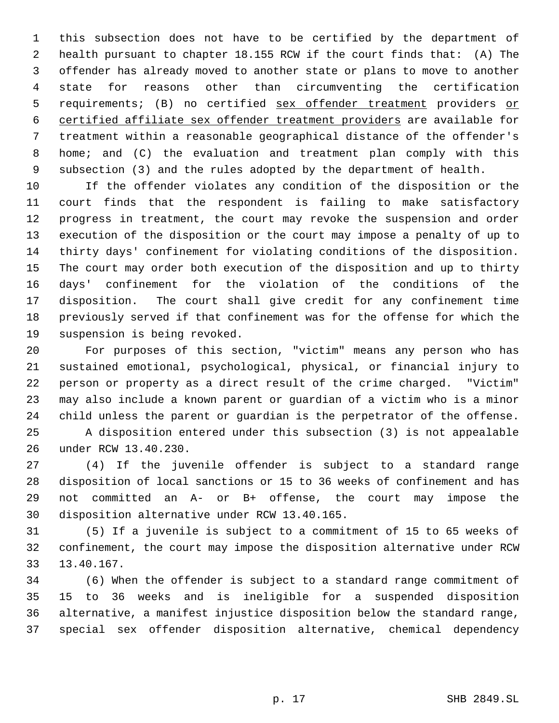this subsection does not have to be certified by the department of health pursuant to chapter 18.155 RCW if the court finds that: (A) The offender has already moved to another state or plans to move to another state for reasons other than circumventing the certification 5 requirements; (B) no certified sex offender treatment providers or certified affiliate sex offender treatment providers are available for treatment within a reasonable geographical distance of the offender's home; and (C) the evaluation and treatment plan comply with this subsection (3) and the rules adopted by the department of health.

 If the offender violates any condition of the disposition or the court finds that the respondent is failing to make satisfactory progress in treatment, the court may revoke the suspension and order execution of the disposition or the court may impose a penalty of up to thirty days' confinement for violating conditions of the disposition. The court may order both execution of the disposition and up to thirty days' confinement for the violation of the conditions of the disposition. The court shall give credit for any confinement time previously served if that confinement was for the offense for which the suspension is being revoked.

 For purposes of this section, "victim" means any person who has sustained emotional, psychological, physical, or financial injury to person or property as a direct result of the crime charged. "Victim" may also include a known parent or guardian of a victim who is a minor child unless the parent or guardian is the perpetrator of the offense.

 A disposition entered under this subsection (3) is not appealable under RCW 13.40.230.

 (4) If the juvenile offender is subject to a standard range disposition of local sanctions or 15 to 36 weeks of confinement and has not committed an A- or B+ offense, the court may impose the disposition alternative under RCW 13.40.165.

 (5) If a juvenile is subject to a commitment of 15 to 65 weeks of confinement, the court may impose the disposition alternative under RCW 13.40.167.

 (6) When the offender is subject to a standard range commitment of 15 to 36 weeks and is ineligible for a suspended disposition alternative, a manifest injustice disposition below the standard range, special sex offender disposition alternative, chemical dependency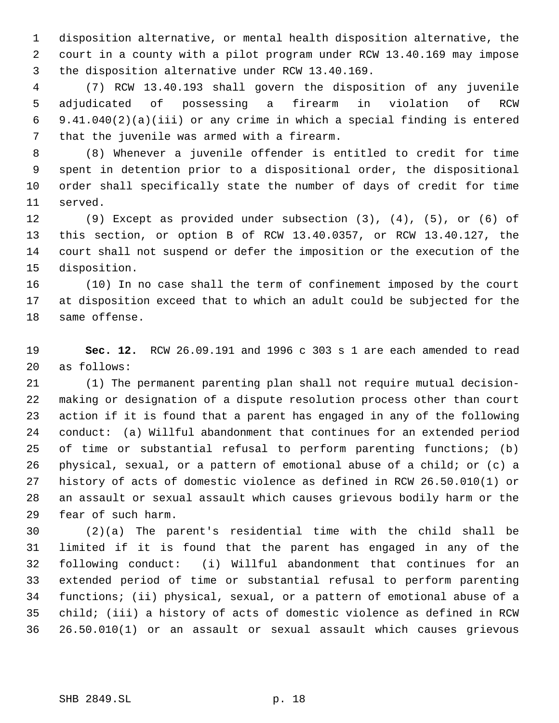disposition alternative, or mental health disposition alternative, the court in a county with a pilot program under RCW 13.40.169 may impose the disposition alternative under RCW 13.40.169.

 (7) RCW 13.40.193 shall govern the disposition of any juvenile adjudicated of possessing a firearm in violation of RCW 9.41.040(2)(a)(iii) or any crime in which a special finding is entered that the juvenile was armed with a firearm.

 (8) Whenever a juvenile offender is entitled to credit for time spent in detention prior to a dispositional order, the dispositional order shall specifically state the number of days of credit for time served.

 (9) Except as provided under subsection (3), (4), (5), or (6) of this section, or option B of RCW 13.40.0357, or RCW 13.40.127, the court shall not suspend or defer the imposition or the execution of the disposition.

 (10) In no case shall the term of confinement imposed by the court at disposition exceed that to which an adult could be subjected for the same offense.

 **Sec. 12.** RCW 26.09.191 and 1996 c 303 s 1 are each amended to read as follows:

 (1) The permanent parenting plan shall not require mutual decision- making or designation of a dispute resolution process other than court action if it is found that a parent has engaged in any of the following conduct: (a) Willful abandonment that continues for an extended period of time or substantial refusal to perform parenting functions; (b) physical, sexual, or a pattern of emotional abuse of a child; or (c) a history of acts of domestic violence as defined in RCW 26.50.010(1) or an assault or sexual assault which causes grievous bodily harm or the fear of such harm.

 (2)(a) The parent's residential time with the child shall be limited if it is found that the parent has engaged in any of the following conduct: (i) Willful abandonment that continues for an extended period of time or substantial refusal to perform parenting functions; (ii) physical, sexual, or a pattern of emotional abuse of a child; (iii) a history of acts of domestic violence as defined in RCW 26.50.010(1) or an assault or sexual assault which causes grievous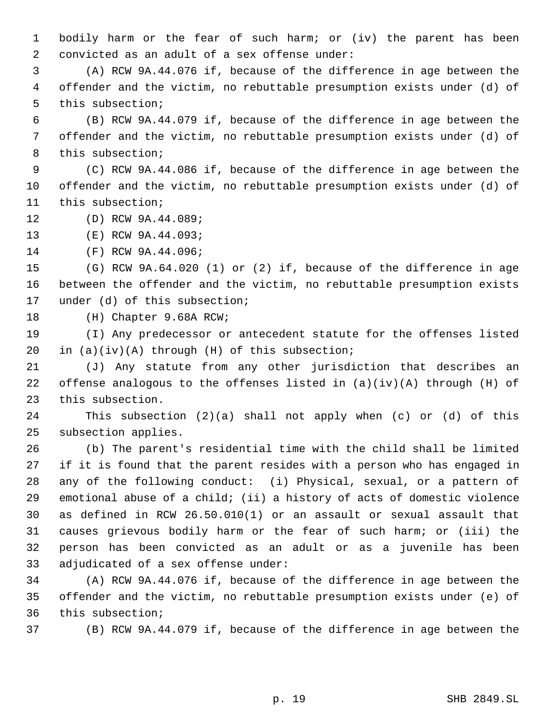bodily harm or the fear of such harm; or (iv) the parent has been convicted as an adult of a sex offense under:

 (A) RCW 9A.44.076 if, because of the difference in age between the offender and the victim, no rebuttable presumption exists under (d) of this subsection;

 (B) RCW 9A.44.079 if, because of the difference in age between the offender and the victim, no rebuttable presumption exists under (d) of this subsection;

 (C) RCW 9A.44.086 if, because of the difference in age between the offender and the victim, no rebuttable presumption exists under (d) of this subsection;

(D) RCW 9A.44.089;

(E) RCW 9A.44.093;

(F) RCW 9A.44.096;

 (G) RCW 9A.64.020 (1) or (2) if, because of the difference in age between the offender and the victim, no rebuttable presumption exists under (d) of this subsection;

(H) Chapter 9.68A RCW;

 (I) Any predecessor or antecedent statute for the offenses listed in (a)(iv)(A) through (H) of this subsection;

 (J) Any statute from any other jurisdiction that describes an offense analogous to the offenses listed in (a)(iv)(A) through (H) of this subsection.

 This subsection (2)(a) shall not apply when (c) or (d) of this subsection applies.

 (b) The parent's residential time with the child shall be limited if it is found that the parent resides with a person who has engaged in any of the following conduct: (i) Physical, sexual, or a pattern of emotional abuse of a child; (ii) a history of acts of domestic violence as defined in RCW 26.50.010(1) or an assault or sexual assault that causes grievous bodily harm or the fear of such harm; or (iii) the person has been convicted as an adult or as a juvenile has been adjudicated of a sex offense under:

 (A) RCW 9A.44.076 if, because of the difference in age between the offender and the victim, no rebuttable presumption exists under (e) of this subsection;

(B) RCW 9A.44.079 if, because of the difference in age between the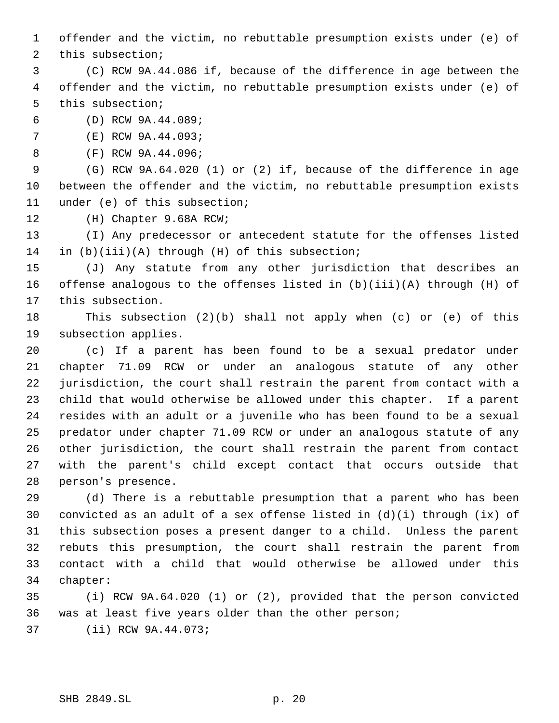offender and the victim, no rebuttable presumption exists under (e) of

this subsection;

 (C) RCW 9A.44.086 if, because of the difference in age between the offender and the victim, no rebuttable presumption exists under (e) of this subsection;

(D) RCW 9A.44.089;

(E) RCW 9A.44.093;

(F) RCW 9A.44.096;

 (G) RCW 9A.64.020 (1) or (2) if, because of the difference in age between the offender and the victim, no rebuttable presumption exists under (e) of this subsection;

(H) Chapter 9.68A RCW;

 (I) Any predecessor or antecedent statute for the offenses listed in (b)(iii)(A) through (H) of this subsection;

 (J) Any statute from any other jurisdiction that describes an offense analogous to the offenses listed in (b)(iii)(A) through (H) of this subsection.

 This subsection (2)(b) shall not apply when (c) or (e) of this subsection applies.

 (c) If a parent has been found to be a sexual predator under chapter 71.09 RCW or under an analogous statute of any other jurisdiction, the court shall restrain the parent from contact with a child that would otherwise be allowed under this chapter. If a parent resides with an adult or a juvenile who has been found to be a sexual predator under chapter 71.09 RCW or under an analogous statute of any other jurisdiction, the court shall restrain the parent from contact with the parent's child except contact that occurs outside that person's presence.

 (d) There is a rebuttable presumption that a parent who has been convicted as an adult of a sex offense listed in (d)(i) through (ix) of this subsection poses a present danger to a child. Unless the parent rebuts this presumption, the court shall restrain the parent from contact with a child that would otherwise be allowed under this chapter:

 (i) RCW 9A.64.020 (1) or (2), provided that the person convicted was at least five years older than the other person; (ii) RCW 9A.44.073;

SHB 2849.SL p. 20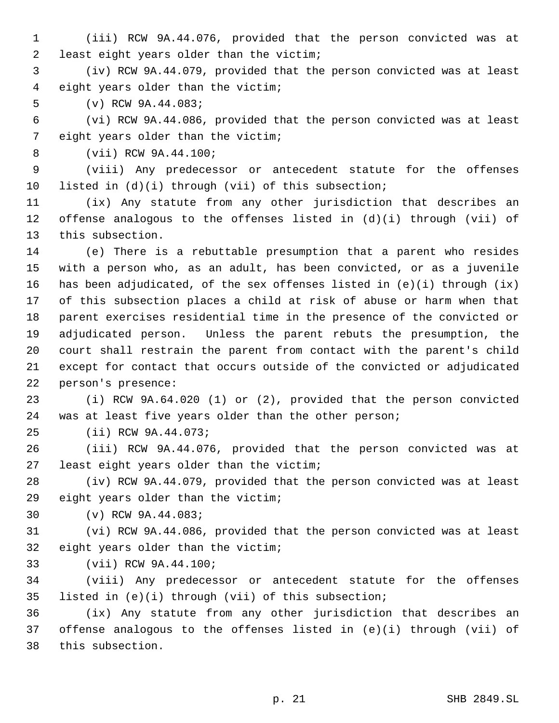(iii) RCW 9A.44.076, provided that the person convicted was at least eight years older than the victim;

 (iv) RCW 9A.44.079, provided that the person convicted was at least eight years older than the victim;

(v) RCW 9A.44.083;

 (vi) RCW 9A.44.086, provided that the person convicted was at least eight years older than the victim;

(vii) RCW 9A.44.100;

 (viii) Any predecessor or antecedent statute for the offenses listed in (d)(i) through (vii) of this subsection;

 (ix) Any statute from any other jurisdiction that describes an 12 offense analogous to the offenses listed in  $(d)(i)$  through (vii) of this subsection.

 (e) There is a rebuttable presumption that a parent who resides with a person who, as an adult, has been convicted, or as a juvenile 16 has been adjudicated, of the sex offenses listed in  $(e)(i)$  through  $(ix)$  of this subsection places a child at risk of abuse or harm when that parent exercises residential time in the presence of the convicted or adjudicated person. Unless the parent rebuts the presumption, the court shall restrain the parent from contact with the parent's child except for contact that occurs outside of the convicted or adjudicated person's presence:

 (i) RCW 9A.64.020 (1) or (2), provided that the person convicted was at least five years older than the other person;

(ii) RCW 9A.44.073;

 (iii) RCW 9A.44.076, provided that the person convicted was at least eight years older than the victim;

 (iv) RCW 9A.44.079, provided that the person convicted was at least eight years older than the victim;

(v) RCW 9A.44.083;

 (vi) RCW 9A.44.086, provided that the person convicted was at least eight years older than the victim;

(vii) RCW 9A.44.100;

 (viii) Any predecessor or antecedent statute for the offenses listed in (e)(i) through (vii) of this subsection;

 (ix) Any statute from any other jurisdiction that describes an offense analogous to the offenses listed in (e)(i) through (vii) of this subsection.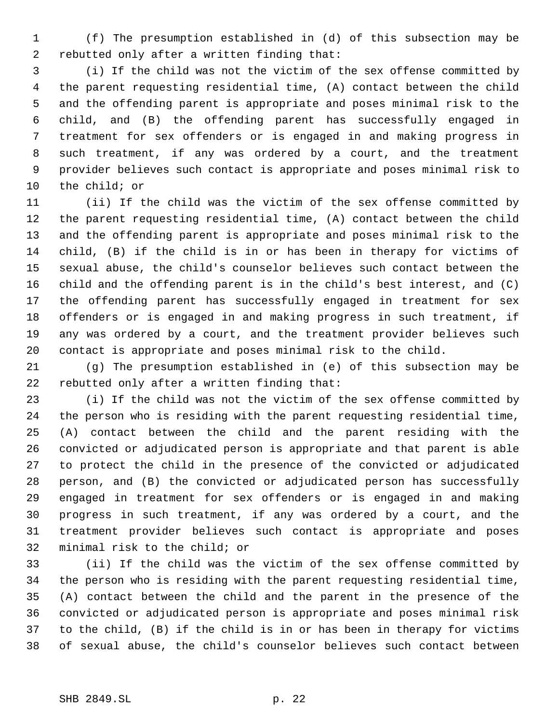(f) The presumption established in (d) of this subsection may be rebutted only after a written finding that:

 (i) If the child was not the victim of the sex offense committed by the parent requesting residential time, (A) contact between the child and the offending parent is appropriate and poses minimal risk to the child, and (B) the offending parent has successfully engaged in treatment for sex offenders or is engaged in and making progress in such treatment, if any was ordered by a court, and the treatment provider believes such contact is appropriate and poses minimal risk to the child; or

 (ii) If the child was the victim of the sex offense committed by the parent requesting residential time, (A) contact between the child and the offending parent is appropriate and poses minimal risk to the child, (B) if the child is in or has been in therapy for victims of sexual abuse, the child's counselor believes such contact between the child and the offending parent is in the child's best interest, and (C) the offending parent has successfully engaged in treatment for sex offenders or is engaged in and making progress in such treatment, if any was ordered by a court, and the treatment provider believes such contact is appropriate and poses minimal risk to the child.

 (g) The presumption established in (e) of this subsection may be rebutted only after a written finding that:

 (i) If the child was not the victim of the sex offense committed by the person who is residing with the parent requesting residential time, (A) contact between the child and the parent residing with the convicted or adjudicated person is appropriate and that parent is able to protect the child in the presence of the convicted or adjudicated person, and (B) the convicted or adjudicated person has successfully engaged in treatment for sex offenders or is engaged in and making progress in such treatment, if any was ordered by a court, and the treatment provider believes such contact is appropriate and poses minimal risk to the child; or

 (ii) If the child was the victim of the sex offense committed by the person who is residing with the parent requesting residential time, (A) contact between the child and the parent in the presence of the convicted or adjudicated person is appropriate and poses minimal risk to the child, (B) if the child is in or has been in therapy for victims of sexual abuse, the child's counselor believes such contact between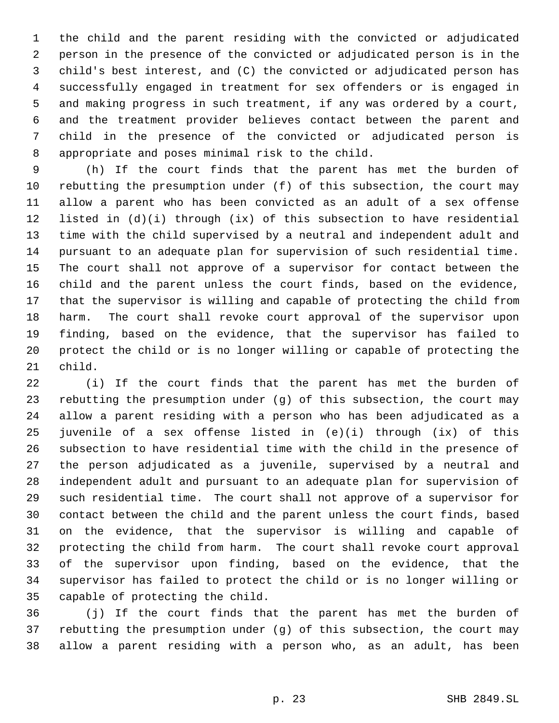the child and the parent residing with the convicted or adjudicated person in the presence of the convicted or adjudicated person is in the child's best interest, and (C) the convicted or adjudicated person has successfully engaged in treatment for sex offenders or is engaged in and making progress in such treatment, if any was ordered by a court, and the treatment provider believes contact between the parent and child in the presence of the convicted or adjudicated person is appropriate and poses minimal risk to the child.

 (h) If the court finds that the parent has met the burden of rebutting the presumption under (f) of this subsection, the court may allow a parent who has been convicted as an adult of a sex offense listed in (d)(i) through (ix) of this subsection to have residential time with the child supervised by a neutral and independent adult and pursuant to an adequate plan for supervision of such residential time. The court shall not approve of a supervisor for contact between the child and the parent unless the court finds, based on the evidence, that the supervisor is willing and capable of protecting the child from harm. The court shall revoke court approval of the supervisor upon finding, based on the evidence, that the supervisor has failed to protect the child or is no longer willing or capable of protecting the child.

 (i) If the court finds that the parent has met the burden of rebutting the presumption under (g) of this subsection, the court may allow a parent residing with a person who has been adjudicated as a juvenile of a sex offense listed in (e)(i) through (ix) of this subsection to have residential time with the child in the presence of the person adjudicated as a juvenile, supervised by a neutral and independent adult and pursuant to an adequate plan for supervision of such residential time. The court shall not approve of a supervisor for contact between the child and the parent unless the court finds, based on the evidence, that the supervisor is willing and capable of protecting the child from harm. The court shall revoke court approval of the supervisor upon finding, based on the evidence, that the supervisor has failed to protect the child or is no longer willing or capable of protecting the child.

 (j) If the court finds that the parent has met the burden of rebutting the presumption under (g) of this subsection, the court may allow a parent residing with a person who, as an adult, has been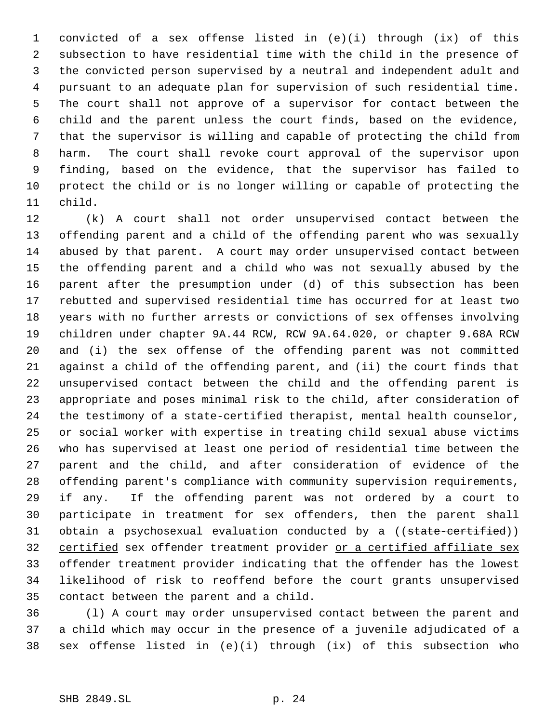convicted of a sex offense listed in (e)(i) through (ix) of this subsection to have residential time with the child in the presence of the convicted person supervised by a neutral and independent adult and pursuant to an adequate plan for supervision of such residential time. The court shall not approve of a supervisor for contact between the child and the parent unless the court finds, based on the evidence, that the supervisor is willing and capable of protecting the child from harm. The court shall revoke court approval of the supervisor upon finding, based on the evidence, that the supervisor has failed to protect the child or is no longer willing or capable of protecting the child.

 (k) A court shall not order unsupervised contact between the offending parent and a child of the offending parent who was sexually abused by that parent. A court may order unsupervised contact between the offending parent and a child who was not sexually abused by the parent after the presumption under (d) of this subsection has been rebutted and supervised residential time has occurred for at least two years with no further arrests or convictions of sex offenses involving children under chapter 9A.44 RCW, RCW 9A.64.020, or chapter 9.68A RCW and (i) the sex offense of the offending parent was not committed against a child of the offending parent, and (ii) the court finds that unsupervised contact between the child and the offending parent is appropriate and poses minimal risk to the child, after consideration of the testimony of a state-certified therapist, mental health counselor, or social worker with expertise in treating child sexual abuse victims who has supervised at least one period of residential time between the parent and the child, and after consideration of evidence of the offending parent's compliance with community supervision requirements, if any. If the offending parent was not ordered by a court to participate in treatment for sex offenders, then the parent shall 31 obtain a psychosexual evaluation conducted by a ((state-certified)) certified sex offender treatment provider or a certified affiliate sex 33 offender treatment provider indicating that the offender has the lowest likelihood of risk to reoffend before the court grants unsupervised contact between the parent and a child.

 (l) A court may order unsupervised contact between the parent and a child which may occur in the presence of a juvenile adjudicated of a sex offense listed in (e)(i) through (ix) of this subsection who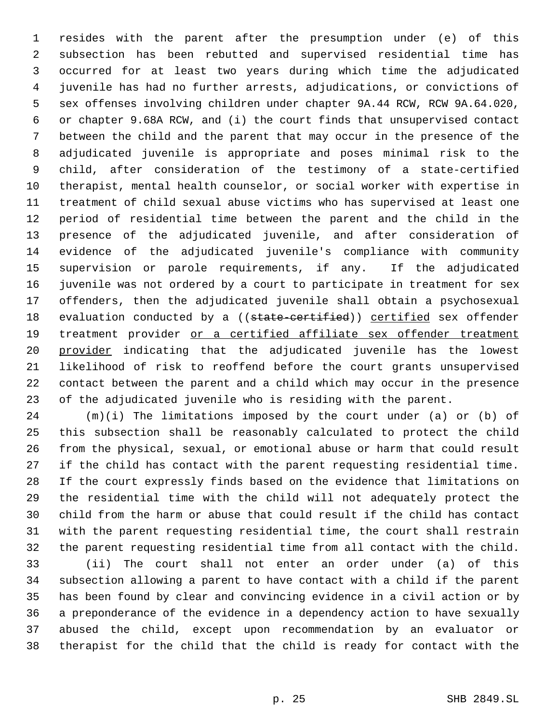resides with the parent after the presumption under (e) of this subsection has been rebutted and supervised residential time has occurred for at least two years during which time the adjudicated juvenile has had no further arrests, adjudications, or convictions of sex offenses involving children under chapter 9A.44 RCW, RCW 9A.64.020, or chapter 9.68A RCW, and (i) the court finds that unsupervised contact between the child and the parent that may occur in the presence of the adjudicated juvenile is appropriate and poses minimal risk to the child, after consideration of the testimony of a state-certified therapist, mental health counselor, or social worker with expertise in treatment of child sexual abuse victims who has supervised at least one period of residential time between the parent and the child in the presence of the adjudicated juvenile, and after consideration of evidence of the adjudicated juvenile's compliance with community supervision or parole requirements, if any. If the adjudicated juvenile was not ordered by a court to participate in treatment for sex offenders, then the adjudicated juvenile shall obtain a psychosexual 18 evaluation conducted by a ((state-certified)) certified sex offender treatment provider or a certified affiliate sex offender treatment 20 provider indicating that the adjudicated juvenile has the lowest likelihood of risk to reoffend before the court grants unsupervised contact between the parent and a child which may occur in the presence of the adjudicated juvenile who is residing with the parent.

 (m)(i) The limitations imposed by the court under (a) or (b) of this subsection shall be reasonably calculated to protect the child from the physical, sexual, or emotional abuse or harm that could result if the child has contact with the parent requesting residential time. If the court expressly finds based on the evidence that limitations on the residential time with the child will not adequately protect the child from the harm or abuse that could result if the child has contact with the parent requesting residential time, the court shall restrain the parent requesting residential time from all contact with the child.

 (ii) The court shall not enter an order under (a) of this subsection allowing a parent to have contact with a child if the parent has been found by clear and convincing evidence in a civil action or by a preponderance of the evidence in a dependency action to have sexually abused the child, except upon recommendation by an evaluator or therapist for the child that the child is ready for contact with the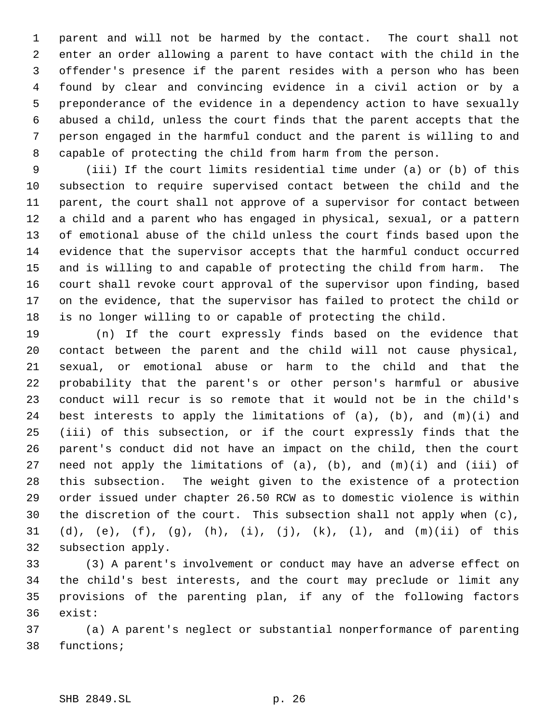parent and will not be harmed by the contact. The court shall not enter an order allowing a parent to have contact with the child in the offender's presence if the parent resides with a person who has been found by clear and convincing evidence in a civil action or by a preponderance of the evidence in a dependency action to have sexually abused a child, unless the court finds that the parent accepts that the person engaged in the harmful conduct and the parent is willing to and capable of protecting the child from harm from the person.

 (iii) If the court limits residential time under (a) or (b) of this subsection to require supervised contact between the child and the parent, the court shall not approve of a supervisor for contact between a child and a parent who has engaged in physical, sexual, or a pattern of emotional abuse of the child unless the court finds based upon the evidence that the supervisor accepts that the harmful conduct occurred and is willing to and capable of protecting the child from harm. The court shall revoke court approval of the supervisor upon finding, based on the evidence, that the supervisor has failed to protect the child or is no longer willing to or capable of protecting the child.

 (n) If the court expressly finds based on the evidence that contact between the parent and the child will not cause physical, sexual, or emotional abuse or harm to the child and that the probability that the parent's or other person's harmful or abusive conduct will recur is so remote that it would not be in the child's best interests to apply the limitations of (a), (b), and (m)(i) and (iii) of this subsection, or if the court expressly finds that the parent's conduct did not have an impact on the child, then the court 27 need not apply the limitations of  $(a)$ ,  $(b)$ , and  $(m)(i)$  and  $(iii)$  of this subsection. The weight given to the existence of a protection order issued under chapter 26.50 RCW as to domestic violence is within the discretion of the court. This subsection shall not apply when (c), (d), (e), (f), (g), (h), (i), (j), (k), (l), and (m)(ii) of this subsection apply.

 (3) A parent's involvement or conduct may have an adverse effect on the child's best interests, and the court may preclude or limit any provisions of the parenting plan, if any of the following factors exist:

 (a) A parent's neglect or substantial nonperformance of parenting functions;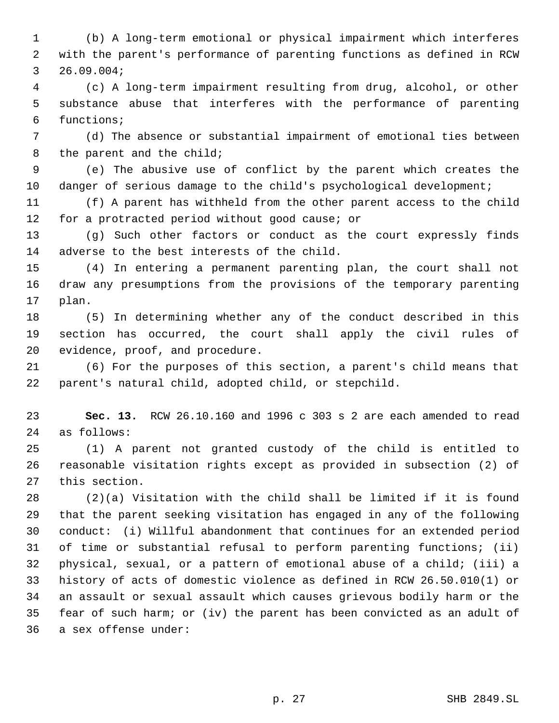(b) A long-term emotional or physical impairment which interferes with the parent's performance of parenting functions as defined in RCW 26.09.004;

 (c) A long-term impairment resulting from drug, alcohol, or other substance abuse that interferes with the performance of parenting functions;

 (d) The absence or substantial impairment of emotional ties between 8 the parent and the child;

 (e) The abusive use of conflict by the parent which creates the danger of serious damage to the child's psychological development;

 (f) A parent has withheld from the other parent access to the child for a protracted period without good cause; or

 (g) Such other factors or conduct as the court expressly finds adverse to the best interests of the child.

 (4) In entering a permanent parenting plan, the court shall not draw any presumptions from the provisions of the temporary parenting plan.

 (5) In determining whether any of the conduct described in this section has occurred, the court shall apply the civil rules of evidence, proof, and procedure.

 (6) For the purposes of this section, a parent's child means that parent's natural child, adopted child, or stepchild.

 **Sec. 13.** RCW 26.10.160 and 1996 c 303 s 2 are each amended to read as follows:

 (1) A parent not granted custody of the child is entitled to reasonable visitation rights except as provided in subsection (2) of this section.

 (2)(a) Visitation with the child shall be limited if it is found that the parent seeking visitation has engaged in any of the following conduct: (i) Willful abandonment that continues for an extended period of time or substantial refusal to perform parenting functions; (ii) physical, sexual, or a pattern of emotional abuse of a child; (iii) a history of acts of domestic violence as defined in RCW 26.50.010(1) or an assault or sexual assault which causes grievous bodily harm or the fear of such harm; or (iv) the parent has been convicted as an adult of a sex offense under: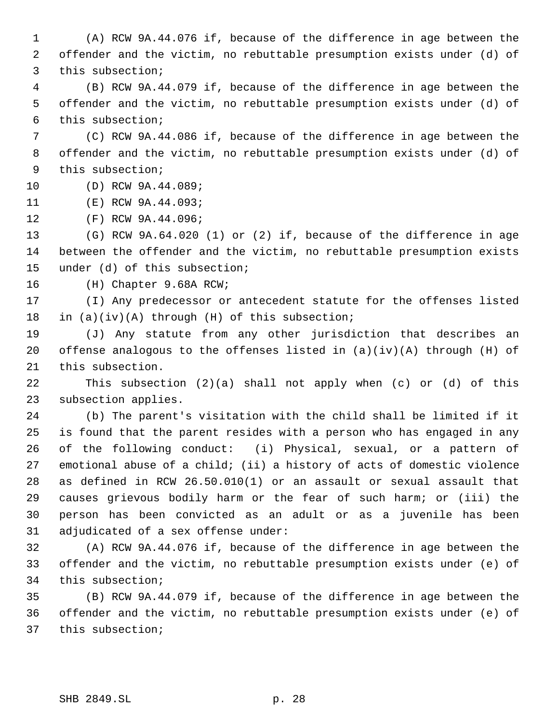(A) RCW 9A.44.076 if, because of the difference in age between the offender and the victim, no rebuttable presumption exists under (d) of this subsection;

 (B) RCW 9A.44.079 if, because of the difference in age between the offender and the victim, no rebuttable presumption exists under (d) of this subsection;

 (C) RCW 9A.44.086 if, because of the difference in age between the offender and the victim, no rebuttable presumption exists under (d) of this subsection;

(D) RCW 9A.44.089;

(E) RCW 9A.44.093;

(F) RCW 9A.44.096;

 (G) RCW 9A.64.020 (1) or (2) if, because of the difference in age between the offender and the victim, no rebuttable presumption exists under (d) of this subsection;

(H) Chapter 9.68A RCW;

 (I) Any predecessor or antecedent statute for the offenses listed in (a)(iv)(A) through (H) of this subsection;

 (J) Any statute from any other jurisdiction that describes an 20 offense analogous to the offenses listed in  $(a)(iv)(A)$  through  $(H)$  of this subsection.

 This subsection (2)(a) shall not apply when (c) or (d) of this subsection applies.

 (b) The parent's visitation with the child shall be limited if it is found that the parent resides with a person who has engaged in any of the following conduct: (i) Physical, sexual, or a pattern of emotional abuse of a child; (ii) a history of acts of domestic violence as defined in RCW 26.50.010(1) or an assault or sexual assault that causes grievous bodily harm or the fear of such harm; or (iii) the person has been convicted as an adult or as a juvenile has been adjudicated of a sex offense under:

 (A) RCW 9A.44.076 if, because of the difference in age between the offender and the victim, no rebuttable presumption exists under (e) of this subsection;

 (B) RCW 9A.44.079 if, because of the difference in age between the offender and the victim, no rebuttable presumption exists under (e) of this subsection;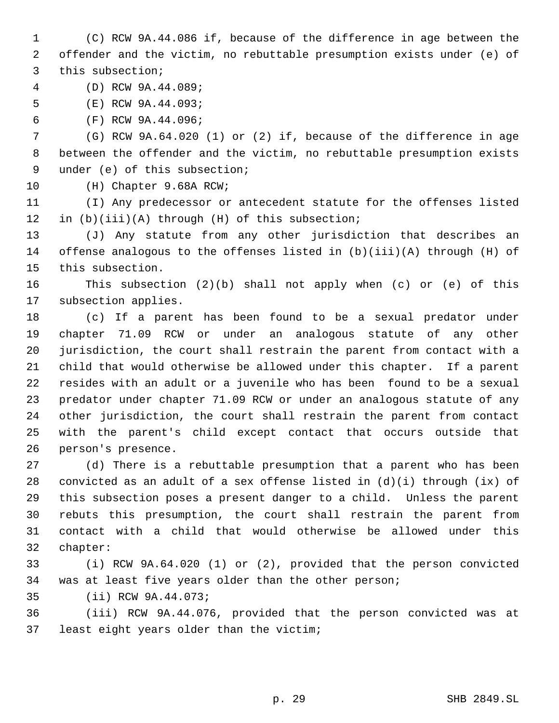(C) RCW 9A.44.086 if, because of the difference in age between the offender and the victim, no rebuttable presumption exists under (e) of this subsection;

(D) RCW 9A.44.089;

(E) RCW 9A.44.093;

(F) RCW 9A.44.096;

 (G) RCW 9A.64.020 (1) or (2) if, because of the difference in age between the offender and the victim, no rebuttable presumption exists under (e) of this subsection;

(H) Chapter 9.68A RCW;

 (I) Any predecessor or antecedent statute for the offenses listed in (b)(iii)(A) through (H) of this subsection;

 (J) Any statute from any other jurisdiction that describes an offense analogous to the offenses listed in (b)(iii)(A) through (H) of this subsection.

 This subsection (2)(b) shall not apply when (c) or (e) of this subsection applies.

 (c) If a parent has been found to be a sexual predator under chapter 71.09 RCW or under an analogous statute of any other jurisdiction, the court shall restrain the parent from contact with a child that would otherwise be allowed under this chapter. If a parent resides with an adult or a juvenile who has been found to be a sexual predator under chapter 71.09 RCW or under an analogous statute of any other jurisdiction, the court shall restrain the parent from contact with the parent's child except contact that occurs outside that person's presence.

 (d) There is a rebuttable presumption that a parent who has been convicted as an adult of a sex offense listed in (d)(i) through (ix) of this subsection poses a present danger to a child. Unless the parent rebuts this presumption, the court shall restrain the parent from contact with a child that would otherwise be allowed under this chapter:

 (i) RCW 9A.64.020 (1) or (2), provided that the person convicted was at least five years older than the other person;

(ii) RCW 9A.44.073;

 (iii) RCW 9A.44.076, provided that the person convicted was at least eight years older than the victim;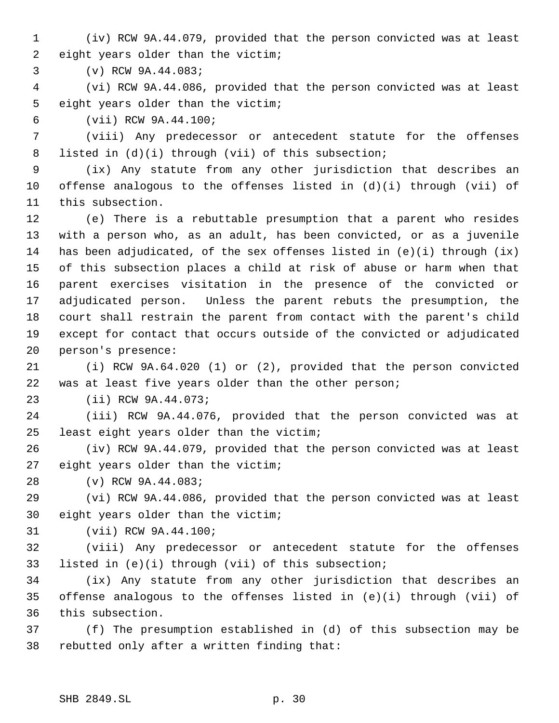(iv) RCW 9A.44.079, provided that the person convicted was at least eight years older than the victim;

(v) RCW 9A.44.083;

 (vi) RCW 9A.44.086, provided that the person convicted was at least eight years older than the victim;

(vii) RCW 9A.44.100;

 (viii) Any predecessor or antecedent statute for the offenses listed in (d)(i) through (vii) of this subsection;

 (ix) Any statute from any other jurisdiction that describes an offense analogous to the offenses listed in (d)(i) through (vii) of this subsection.

 (e) There is a rebuttable presumption that a parent who resides with a person who, as an adult, has been convicted, or as a juvenile 14 has been adjudicated, of the sex offenses listed in  $(e)(i)$  through  $(ix)$  of this subsection places a child at risk of abuse or harm when that parent exercises visitation in the presence of the convicted or adjudicated person. Unless the parent rebuts the presumption, the court shall restrain the parent from contact with the parent's child except for contact that occurs outside of the convicted or adjudicated person's presence:

 (i) RCW 9A.64.020 (1) or (2), provided that the person convicted was at least five years older than the other person;

(ii) RCW 9A.44.073;

 (iii) RCW 9A.44.076, provided that the person convicted was at least eight years older than the victim;

 (iv) RCW 9A.44.079, provided that the person convicted was at least eight years older than the victim;

(v) RCW 9A.44.083;

 (vi) RCW 9A.44.086, provided that the person convicted was at least eight years older than the victim;

(vii) RCW 9A.44.100;

 (viii) Any predecessor or antecedent statute for the offenses listed in (e)(i) through (vii) of this subsection;

 (ix) Any statute from any other jurisdiction that describes an offense analogous to the offenses listed in (e)(i) through (vii) of this subsection.

 (f) The presumption established in (d) of this subsection may be rebutted only after a written finding that: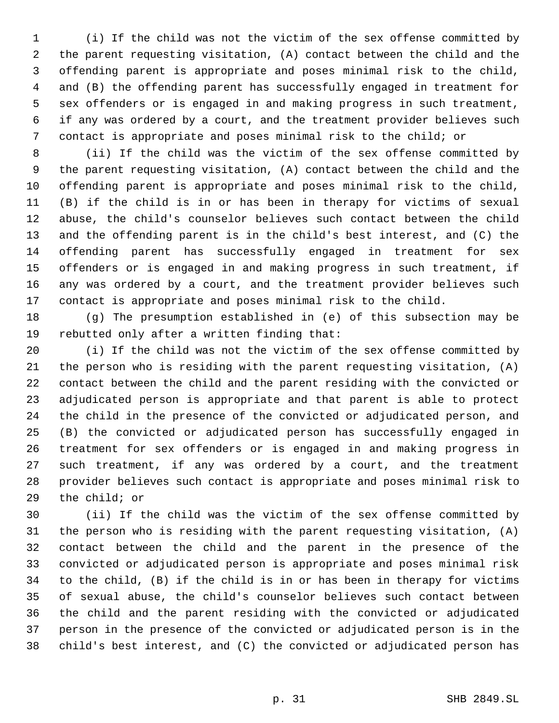(i) If the child was not the victim of the sex offense committed by the parent requesting visitation, (A) contact between the child and the offending parent is appropriate and poses minimal risk to the child, and (B) the offending parent has successfully engaged in treatment for sex offenders or is engaged in and making progress in such treatment, if any was ordered by a court, and the treatment provider believes such contact is appropriate and poses minimal risk to the child; or

 (ii) If the child was the victim of the sex offense committed by the parent requesting visitation, (A) contact between the child and the offending parent is appropriate and poses minimal risk to the child, (B) if the child is in or has been in therapy for victims of sexual abuse, the child's counselor believes such contact between the child and the offending parent is in the child's best interest, and (C) the offending parent has successfully engaged in treatment for sex offenders or is engaged in and making progress in such treatment, if any was ordered by a court, and the treatment provider believes such contact is appropriate and poses minimal risk to the child.

 (g) The presumption established in (e) of this subsection may be rebutted only after a written finding that:

 (i) If the child was not the victim of the sex offense committed by the person who is residing with the parent requesting visitation, (A) contact between the child and the parent residing with the convicted or adjudicated person is appropriate and that parent is able to protect the child in the presence of the convicted or adjudicated person, and (B) the convicted or adjudicated person has successfully engaged in treatment for sex offenders or is engaged in and making progress in such treatment, if any was ordered by a court, and the treatment provider believes such contact is appropriate and poses minimal risk to the child; or

 (ii) If the child was the victim of the sex offense committed by the person who is residing with the parent requesting visitation, (A) contact between the child and the parent in the presence of the convicted or adjudicated person is appropriate and poses minimal risk to the child, (B) if the child is in or has been in therapy for victims of sexual abuse, the child's counselor believes such contact between the child and the parent residing with the convicted or adjudicated person in the presence of the convicted or adjudicated person is in the child's best interest, and (C) the convicted or adjudicated person has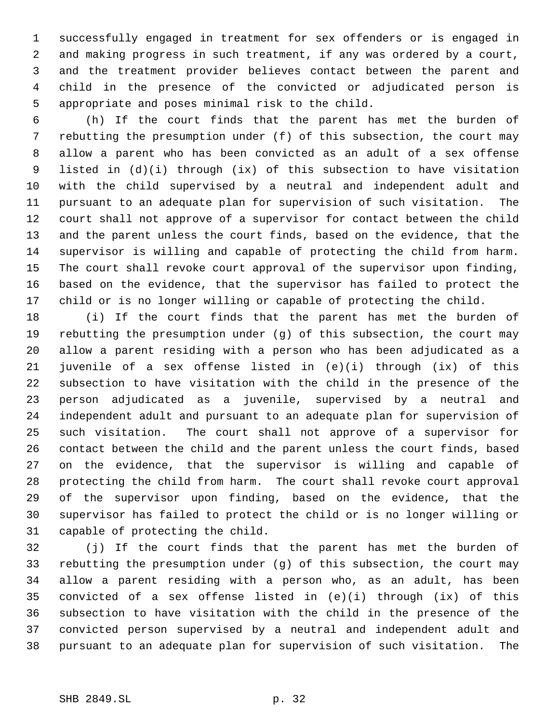successfully engaged in treatment for sex offenders or is engaged in and making progress in such treatment, if any was ordered by a court, and the treatment provider believes contact between the parent and child in the presence of the convicted or adjudicated person is appropriate and poses minimal risk to the child.

 (h) If the court finds that the parent has met the burden of rebutting the presumption under (f) of this subsection, the court may allow a parent who has been convicted as an adult of a sex offense listed in (d)(i) through (ix) of this subsection to have visitation with the child supervised by a neutral and independent adult and pursuant to an adequate plan for supervision of such visitation. The court shall not approve of a supervisor for contact between the child and the parent unless the court finds, based on the evidence, that the supervisor is willing and capable of protecting the child from harm. The court shall revoke court approval of the supervisor upon finding, based on the evidence, that the supervisor has failed to protect the child or is no longer willing or capable of protecting the child.

 (i) If the court finds that the parent has met the burden of rebutting the presumption under (g) of this subsection, the court may allow a parent residing with a person who has been adjudicated as a juvenile of a sex offense listed in (e)(i) through (ix) of this subsection to have visitation with the child in the presence of the person adjudicated as a juvenile, supervised by a neutral and independent adult and pursuant to an adequate plan for supervision of such visitation. The court shall not approve of a supervisor for contact between the child and the parent unless the court finds, based on the evidence, that the supervisor is willing and capable of protecting the child from harm. The court shall revoke court approval of the supervisor upon finding, based on the evidence, that the supervisor has failed to protect the child or is no longer willing or capable of protecting the child.

 (j) If the court finds that the parent has met the burden of rebutting the presumption under (g) of this subsection, the court may allow a parent residing with a person who, as an adult, has been convicted of a sex offense listed in (e)(i) through (ix) of this subsection to have visitation with the child in the presence of the convicted person supervised by a neutral and independent adult and pursuant to an adequate plan for supervision of such visitation. The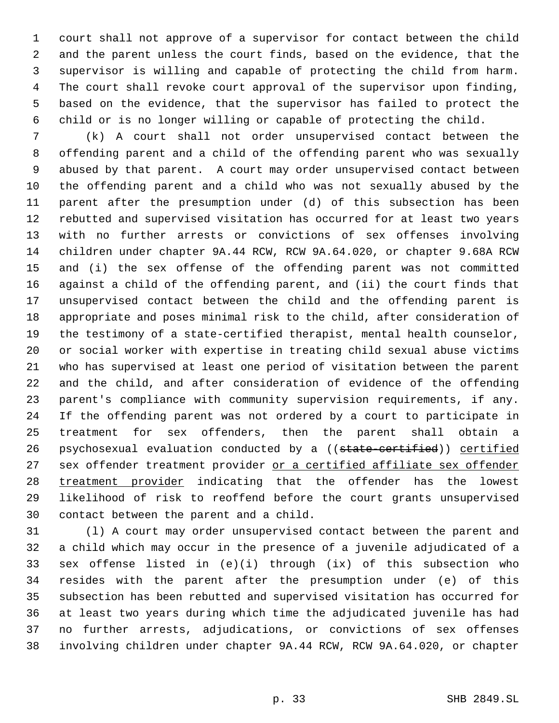court shall not approve of a supervisor for contact between the child and the parent unless the court finds, based on the evidence, that the supervisor is willing and capable of protecting the child from harm. The court shall revoke court approval of the supervisor upon finding, based on the evidence, that the supervisor has failed to protect the child or is no longer willing or capable of protecting the child.

 (k) A court shall not order unsupervised contact between the offending parent and a child of the offending parent who was sexually abused by that parent. A court may order unsupervised contact between the offending parent and a child who was not sexually abused by the parent after the presumption under (d) of this subsection has been rebutted and supervised visitation has occurred for at least two years with no further arrests or convictions of sex offenses involving children under chapter 9A.44 RCW, RCW 9A.64.020, or chapter 9.68A RCW and (i) the sex offense of the offending parent was not committed against a child of the offending parent, and (ii) the court finds that unsupervised contact between the child and the offending parent is appropriate and poses minimal risk to the child, after consideration of the testimony of a state-certified therapist, mental health counselor, or social worker with expertise in treating child sexual abuse victims who has supervised at least one period of visitation between the parent and the child, and after consideration of evidence of the offending parent's compliance with community supervision requirements, if any. If the offending parent was not ordered by a court to participate in treatment for sex offenders, then the parent shall obtain a 26 psychosexual evaluation conducted by a ((state-certified)) certified 27 sex offender treatment provider or a certified affiliate sex offender 28 treatment provider indicating that the offender has the lowest likelihood of risk to reoffend before the court grants unsupervised contact between the parent and a child.

 (l) A court may order unsupervised contact between the parent and a child which may occur in the presence of a juvenile adjudicated of a sex offense listed in (e)(i) through (ix) of this subsection who resides with the parent after the presumption under (e) of this subsection has been rebutted and supervised visitation has occurred for at least two years during which time the adjudicated juvenile has had no further arrests, adjudications, or convictions of sex offenses involving children under chapter 9A.44 RCW, RCW 9A.64.020, or chapter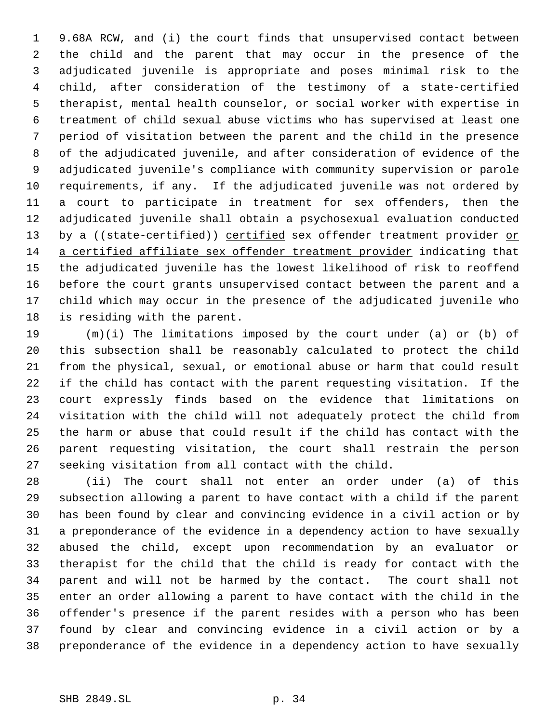9.68A RCW, and (i) the court finds that unsupervised contact between the child and the parent that may occur in the presence of the adjudicated juvenile is appropriate and poses minimal risk to the child, after consideration of the testimony of a state-certified therapist, mental health counselor, or social worker with expertise in treatment of child sexual abuse victims who has supervised at least one period of visitation between the parent and the child in the presence of the adjudicated juvenile, and after consideration of evidence of the adjudicated juvenile's compliance with community supervision or parole requirements, if any. If the adjudicated juvenile was not ordered by a court to participate in treatment for sex offenders, then the adjudicated juvenile shall obtain a psychosexual evaluation conducted 13 by a ((state-certified)) certified sex offender treatment provider or a certified affiliate sex offender treatment provider indicating that the adjudicated juvenile has the lowest likelihood of risk to reoffend before the court grants unsupervised contact between the parent and a child which may occur in the presence of the adjudicated juvenile who is residing with the parent.

 (m)(i) The limitations imposed by the court under (a) or (b) of this subsection shall be reasonably calculated to protect the child from the physical, sexual, or emotional abuse or harm that could result if the child has contact with the parent requesting visitation. If the court expressly finds based on the evidence that limitations on visitation with the child will not adequately protect the child from the harm or abuse that could result if the child has contact with the parent requesting visitation, the court shall restrain the person seeking visitation from all contact with the child.

 (ii) The court shall not enter an order under (a) of this subsection allowing a parent to have contact with a child if the parent has been found by clear and convincing evidence in a civil action or by a preponderance of the evidence in a dependency action to have sexually abused the child, except upon recommendation by an evaluator or therapist for the child that the child is ready for contact with the parent and will not be harmed by the contact. The court shall not enter an order allowing a parent to have contact with the child in the offender's presence if the parent resides with a person who has been found by clear and convincing evidence in a civil action or by a preponderance of the evidence in a dependency action to have sexually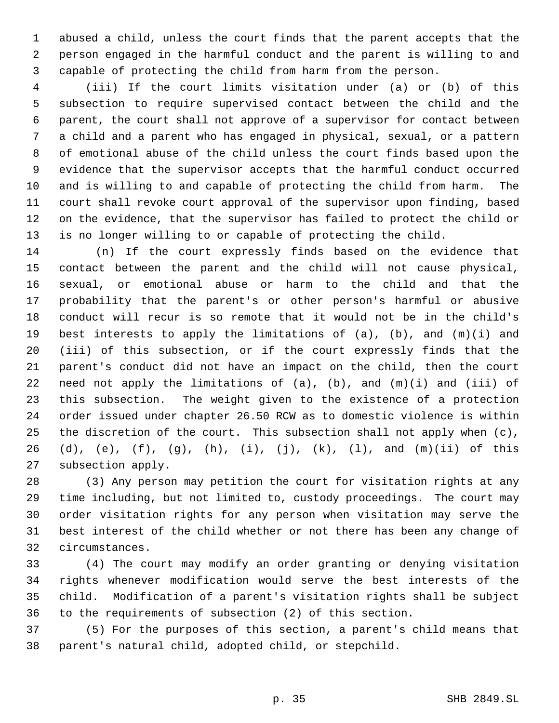abused a child, unless the court finds that the parent accepts that the person engaged in the harmful conduct and the parent is willing to and capable of protecting the child from harm from the person.

 (iii) If the court limits visitation under (a) or (b) of this subsection to require supervised contact between the child and the parent, the court shall not approve of a supervisor for contact between a child and a parent who has engaged in physical, sexual, or a pattern of emotional abuse of the child unless the court finds based upon the evidence that the supervisor accepts that the harmful conduct occurred and is willing to and capable of protecting the child from harm. The court shall revoke court approval of the supervisor upon finding, based on the evidence, that the supervisor has failed to protect the child or is no longer willing to or capable of protecting the child.

 (n) If the court expressly finds based on the evidence that contact between the parent and the child will not cause physical, sexual, or emotional abuse or harm to the child and that the probability that the parent's or other person's harmful or abusive conduct will recur is so remote that it would not be in the child's best interests to apply the limitations of (a), (b), and (m)(i) and (iii) of this subsection, or if the court expressly finds that the parent's conduct did not have an impact on the child, then the court need not apply the limitations of (a), (b), and (m)(i) and (iii) of this subsection. The weight given to the existence of a protection order issued under chapter 26.50 RCW as to domestic violence is within the discretion of the court. This subsection shall not apply when (c), (d), (e), (f), (g), (h), (i), (j), (k), (l), and (m)(ii) of this subsection apply.

 (3) Any person may petition the court for visitation rights at any time including, but not limited to, custody proceedings. The court may order visitation rights for any person when visitation may serve the best interest of the child whether or not there has been any change of circumstances.

 (4) The court may modify an order granting or denying visitation rights whenever modification would serve the best interests of the child. Modification of a parent's visitation rights shall be subject to the requirements of subsection (2) of this section.

 (5) For the purposes of this section, a parent's child means that parent's natural child, adopted child, or stepchild.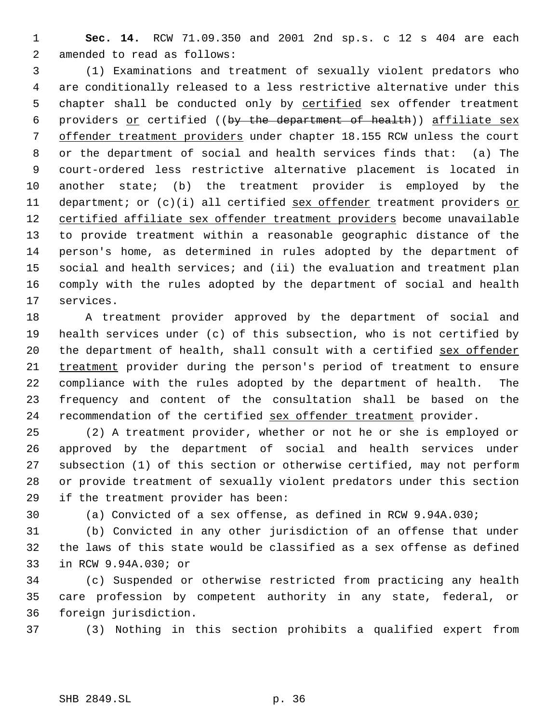**Sec. 14.** RCW 71.09.350 and 2001 2nd sp.s. c 12 s 404 are each amended to read as follows:

 (1) Examinations and treatment of sexually violent predators who are conditionally released to a less restrictive alternative under this 5 chapter shall be conducted only by certified sex offender treatment 6 providers or certified ((by the department of health)) affiliate sex offender treatment providers under chapter 18.155 RCW unless the court or the department of social and health services finds that: (a) The court-ordered less restrictive alternative placement is located in another state; (b) the treatment provider is employed by the 11 department; or (c)(i) all certified sex offender treatment providers or 12 certified affiliate sex offender treatment providers become unavailable to provide treatment within a reasonable geographic distance of the person's home, as determined in rules adopted by the department of social and health services; and (ii) the evaluation and treatment plan comply with the rules adopted by the department of social and health services.

 A treatment provider approved by the department of social and health services under (c) of this subsection, who is not certified by 20 the department of health, shall consult with a certified sex offender treatment provider during the person's period of treatment to ensure compliance with the rules adopted by the department of health. The frequency and content of the consultation shall be based on the 24 recommendation of the certified sex offender treatment provider.

 (2) A treatment provider, whether or not he or she is employed or approved by the department of social and health services under subsection (1) of this section or otherwise certified, may not perform or provide treatment of sexually violent predators under this section if the treatment provider has been:

(a) Convicted of a sex offense, as defined in RCW 9.94A.030;

 (b) Convicted in any other jurisdiction of an offense that under the laws of this state would be classified as a sex offense as defined in RCW 9.94A.030; or

 (c) Suspended or otherwise restricted from practicing any health care profession by competent authority in any state, federal, or foreign jurisdiction.

(3) Nothing in this section prohibits a qualified expert from

SHB 2849.SL p. 36